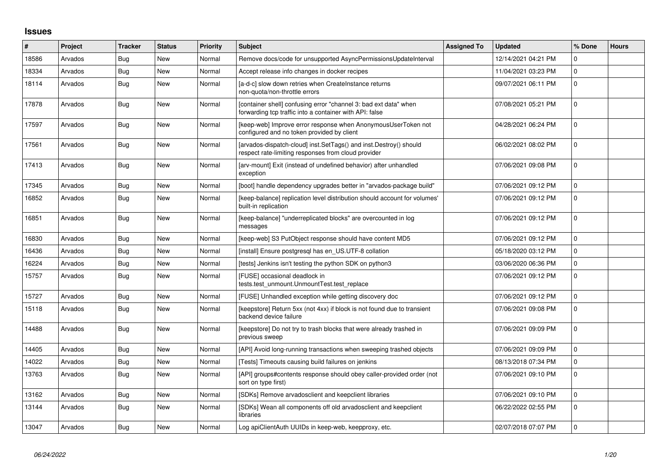## **Issues**

| #     | Project | <b>Tracker</b> | <b>Status</b> | <b>Priority</b> | <b>Subject</b>                                                                                                              | <b>Assigned To</b> | <b>Updated</b>      | % Done   | <b>Hours</b> |
|-------|---------|----------------|---------------|-----------------|-----------------------------------------------------------------------------------------------------------------------------|--------------------|---------------------|----------|--------------|
| 18586 | Arvados | Bug            | <b>New</b>    | Normal          | Remove docs/code for unsupported AsyncPermissionsUpdateInterval                                                             |                    | 12/14/2021 04:21 PM | $\Omega$ |              |
| 18334 | Arvados | <b>Bug</b>     | New           | Normal          | Accept release info changes in docker recipes                                                                               |                    | 11/04/2021 03:23 PM | 0        |              |
| 18114 | Arvados | <b>Bug</b>     | New           | Normal          | [a-d-c] slow down retries when CreateInstance returns<br>non-quota/non-throttle errors                                      |                    | 09/07/2021 06:11 PM | 0        |              |
| 17878 | Arvados | Bug            | New           | Normal          | [container shell] confusing error "channel 3: bad ext data" when<br>forwarding tcp traffic into a container with API: false |                    | 07/08/2021 05:21 PM | 0        |              |
| 17597 | Arvados | Bug            | <b>New</b>    | Normal          | [keep-web] Improve error response when AnonymousUserToken not<br>configured and no token provided by client                 |                    | 04/28/2021 06:24 PM | 0        |              |
| 17561 | Arvados | Bug            | <b>New</b>    | Normal          | [arvados-dispatch-cloud] inst.SetTags() and inst.Destroy() should<br>respect rate-limiting responses from cloud provider    |                    | 06/02/2021 08:02 PM | 0        |              |
| 17413 | Arvados | Bug            | <b>New</b>    | Normal          | [arv-mount] Exit (instead of undefined behavior) after unhandled<br>exception                                               |                    | 07/06/2021 09:08 PM | 0        |              |
| 17345 | Arvados | Bug            | New           | Normal          | [boot] handle dependency upgrades better in "arvados-package build"                                                         |                    | 07/06/2021 09:12 PM | 0        |              |
| 16852 | Arvados | Bug            | New           | Normal          | [keep-balance] replication level distribution should account for volumes'<br>built-in replication                           |                    | 07/06/2021 09:12 PM | $\Omega$ |              |
| 16851 | Arvados | Bug            | <b>New</b>    | Normal          | [keep-balance] "underreplicated blocks" are overcounted in log<br>messages                                                  |                    | 07/06/2021 09:12 PM | 0        |              |
| 16830 | Arvados | <b>Bug</b>     | New           | Normal          | [keep-web] S3 PutObject response should have content MD5                                                                    |                    | 07/06/2021 09:12 PM | 0        |              |
| 16436 | Arvados | <b>Bug</b>     | <b>New</b>    | Normal          | [install] Ensure postgresql has en_US.UTF-8 collation                                                                       |                    | 05/18/2020 03:12 PM | 0        |              |
| 16224 | Arvados | <b>Bug</b>     | <b>New</b>    | Normal          | [tests] Jenkins isn't testing the python SDK on python3                                                                     |                    | 03/06/2020 06:36 PM | 0        |              |
| 15757 | Arvados | Bug            | New           | Normal          | [FUSE] occasional deadlock in<br>tests.test_unmount.UnmountTest.test_replace                                                |                    | 07/06/2021 09:12 PM | 0        |              |
| 15727 | Arvados | <b>Bug</b>     | New           | Normal          | [FUSE] Unhandled exception while getting discovery doc                                                                      |                    | 07/06/2021 09:12 PM | $\Omega$ |              |
| 15118 | Arvados | <b>Bug</b>     | New           | Normal          | [keepstore] Return 5xx (not 4xx) if block is not found due to transient<br>backend device failure                           |                    | 07/06/2021 09:08 PM | 0        |              |
| 14488 | Arvados | <b>Bug</b>     | New           | Normal          | [keepstore] Do not try to trash blocks that were already trashed in<br>previous sweep                                       |                    | 07/06/2021 09:09 PM | $\Omega$ |              |
| 14405 | Arvados | <b>Bug</b>     | <b>New</b>    | Normal          | [API] Avoid long-running transactions when sweeping trashed objects                                                         |                    | 07/06/2021 09:09 PM | $\Omega$ |              |
| 14022 | Arvados | Bug            | New           | Normal          | [Tests] Timeouts causing build failures on jenkins                                                                          |                    | 08/13/2018 07:34 PM | 0        |              |
| 13763 | Arvados | <b>Bug</b>     | New           | Normal          | [API] groups#contents response should obey caller-provided order (not<br>sort on type first)                                |                    | 07/06/2021 09:10 PM | 0        |              |
| 13162 | Arvados | <b>Bug</b>     | <b>New</b>    | Normal          | [SDKs] Remove arvadosclient and keepclient libraries                                                                        |                    | 07/06/2021 09:10 PM | 0        |              |
| 13144 | Arvados | Bug            | <b>New</b>    | Normal          | [SDKs] Wean all components off old arvadosclient and keepclient<br>libraries                                                |                    | 06/22/2022 02:55 PM | $\Omega$ |              |
| 13047 | Arvados | <b>Bug</b>     | New           | Normal          | Log apiClientAuth UUIDs in keep-web, keepproxy, etc.                                                                        |                    | 02/07/2018 07:07 PM | 0        |              |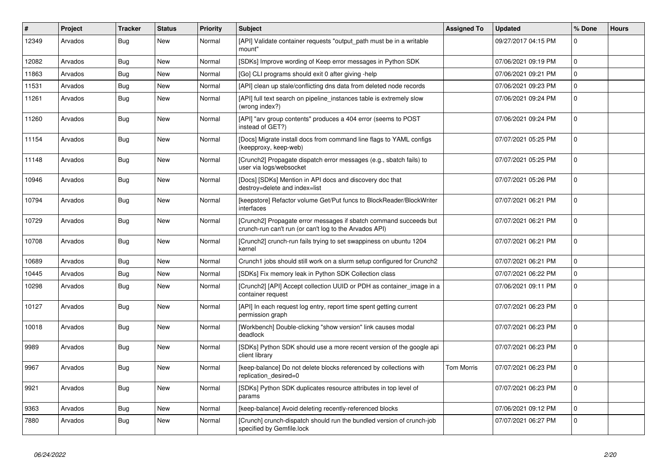| $\#$  | Project | <b>Tracker</b> | <b>Status</b> | Priority | <b>Subject</b>                                                                                                              | <b>Assigned To</b> | <b>Updated</b>      | % Done       | <b>Hours</b> |
|-------|---------|----------------|---------------|----------|-----------------------------------------------------------------------------------------------------------------------------|--------------------|---------------------|--------------|--------------|
| 12349 | Arvados | <b>Bug</b>     | <b>New</b>    | Normal   | [API] Validate container requests "output path must be in a writable<br>mount"                                              |                    | 09/27/2017 04:15 PM | $\Omega$     |              |
| 12082 | Arvados | <b>Bug</b>     | New           | Normal   | [SDKs] Improve wording of Keep error messages in Python SDK                                                                 |                    | 07/06/2021 09:19 PM | $\Omega$     |              |
| 11863 | Arvados | Bug            | New           | Normal   | [Go] CLI programs should exit 0 after giving -help                                                                          |                    | 07/06/2021 09:21 PM | $\mathbf 0$  |              |
| 11531 | Arvados | Bug            | New           | Normal   | [API] clean up stale/conflicting dns data from deleted node records                                                         |                    | 07/06/2021 09:23 PM | $\mathsf 0$  |              |
| 11261 | Arvados | <b>Bug</b>     | New           | Normal   | [API] full text search on pipeline_instances table is extremely slow<br>(wrong index?)                                      |                    | 07/06/2021 09:24 PM | $\Omega$     |              |
| 11260 | Arvados | Bug            | <b>New</b>    | Normal   | [API] "arv group contents" produces a 404 error (seems to POST<br>instead of GET?)                                          |                    | 07/06/2021 09:24 PM | $\Omega$     |              |
| 11154 | Arvados | <b>Bug</b>     | New           | Normal   | [Docs] Migrate install docs from command line flags to YAML configs<br>(keepproxy, keep-web)                                |                    | 07/07/2021 05:25 PM | $\mathbf 0$  |              |
| 11148 | Arvados | Bug            | <b>New</b>    | Normal   | [Crunch2] Propagate dispatch error messages (e.g., sbatch fails) to<br>user via logs/websocket                              |                    | 07/07/2021 05:25 PM | $\Omega$     |              |
| 10946 | Arvados | Bug            | <b>New</b>    | Normal   | [Docs] [SDKs] Mention in API docs and discovery doc that<br>destroy=delete and index=list                                   |                    | 07/07/2021 05:26 PM | $\Omega$     |              |
| 10794 | Arvados | <b>Bug</b>     | New           | Normal   | [keepstore] Refactor volume Get/Put funcs to BlockReader/BlockWriter<br>interfaces                                          |                    | 07/07/2021 06:21 PM | $\mathbf{0}$ |              |
| 10729 | Arvados | Bug            | New           | Normal   | [Crunch2] Propagate error messages if sbatch command succeeds but<br>crunch-run can't run (or can't log to the Arvados API) |                    | 07/07/2021 06:21 PM | $\Omega$     |              |
| 10708 | Arvados | Bug            | <b>New</b>    | Normal   | [Crunch2] crunch-run fails trying to set swappiness on ubuntu 1204<br>kernel                                                |                    | 07/07/2021 06:21 PM | $\Omega$     |              |
| 10689 | Arvados | Bug            | New           | Normal   | Crunch1 jobs should still work on a slurm setup configured for Crunch2                                                      |                    | 07/07/2021 06:21 PM | $\mathbf 0$  |              |
| 10445 | Arvados | <b>Bug</b>     | New           | Normal   | [SDKs] Fix memory leak in Python SDK Collection class                                                                       |                    | 07/07/2021 06:22 PM | $\Omega$     |              |
| 10298 | Arvados | <b>Bug</b>     | New           | Normal   | [Crunch2] [API] Accept collection UUID or PDH as container_image in a<br>container request                                  |                    | 07/06/2021 09:11 PM | $\Omega$     |              |
| 10127 | Arvados | <b>Bug</b>     | New           | Normal   | [API] In each request log entry, report time spent getting current<br>permission graph                                      |                    | 07/07/2021 06:23 PM | $\Omega$     |              |
| 10018 | Arvados | <b>Bug</b>     | <b>New</b>    | Normal   | [Workbench] Double-clicking "show version" link causes modal<br>deadlock                                                    |                    | 07/07/2021 06:23 PM | $\Omega$     |              |
| 9989  | Arvados | <b>Bug</b>     | <b>New</b>    | Normal   | [SDKs] Python SDK should use a more recent version of the google api<br>client library                                      |                    | 07/07/2021 06:23 PM | $\Omega$     |              |
| 9967  | Arvados | Bug            | New           | Normal   | [keep-balance] Do not delete blocks referenced by collections with<br>replication_desired=0                                 | <b>Tom Morris</b>  | 07/07/2021 06:23 PM | $\mathbf 0$  |              |
| 9921  | Arvados | <b>Bug</b>     | New           | Normal   | [SDKs] Python SDK duplicates resource attributes in top level of<br>params                                                  |                    | 07/07/2021 06:23 PM | $\Omega$     |              |
| 9363  | Arvados | <b>Bug</b>     | New           | Normal   | [keep-balance] Avoid deleting recently-referenced blocks                                                                    |                    | 07/06/2021 09:12 PM | $\Omega$     |              |
| 7880  | Arvados | <b>Bug</b>     | <b>New</b>    | Normal   | [Crunch] crunch-dispatch should run the bundled version of crunch-job<br>specified by Gemfile.lock                          |                    | 07/07/2021 06:27 PM | $\Omega$     |              |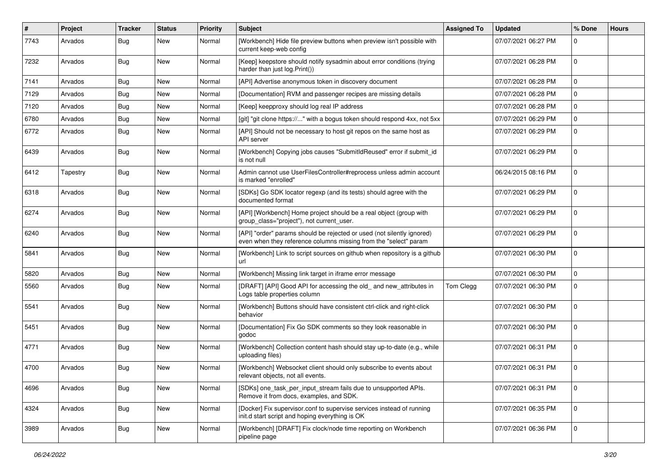| #    | Project  | <b>Tracker</b> | <b>Status</b> | <b>Priority</b> | <b>Subject</b>                                                                                                                             | <b>Assigned To</b> | <b>Updated</b>      | % Done         | <b>Hours</b> |
|------|----------|----------------|---------------|-----------------|--------------------------------------------------------------------------------------------------------------------------------------------|--------------------|---------------------|----------------|--------------|
| 7743 | Arvados  | <b>Bug</b>     | New           | Normal          | [Workbench] Hide file preview buttons when preview isn't possible with<br>current keep-web config                                          |                    | 07/07/2021 06:27 PM | 0              |              |
| 7232 | Arvados  | <b>Bug</b>     | <b>New</b>    | Normal          | [Keep] keepstore should notify sysadmin about error conditions (trying<br>harder than just log. Print())                                   |                    | 07/07/2021 06:28 PM | $\mathbf 0$    |              |
| 7141 | Arvados  | Bug            | <b>New</b>    | Normal          | [API] Advertise anonymous token in discovery document                                                                                      |                    | 07/07/2021 06:28 PM | 0              |              |
| 7129 | Arvados  | Bug            | New           | Normal          | [Documentation] RVM and passenger recipes are missing details                                                                              |                    | 07/07/2021 06:28 PM | 0              |              |
| 7120 | Arvados  | <b>Bug</b>     | New           | Normal          | [Keep] keepproxy should log real IP address                                                                                                |                    | 07/07/2021 06:28 PM | $\mathbf{0}$   |              |
| 6780 | Arvados  | <b>Bug</b>     | New           | Normal          | [git] "git clone https://" with a bogus token should respond 4xx, not 5xx                                                                  |                    | 07/07/2021 06:29 PM | $\mathbf 0$    |              |
| 6772 | Arvados  | <b>Bug</b>     | New           | Normal          | [API] Should not be necessary to host git repos on the same host as<br>API server                                                          |                    | 07/07/2021 06:29 PM | $\mathbf 0$    |              |
| 6439 | Arvados  | Bug            | <b>New</b>    | Normal          | [Workbench] Copying jobs causes "SubmitIdReused" error if submit_id<br>is not null                                                         |                    | 07/07/2021 06:29 PM | $\mathbf{0}$   |              |
| 6412 | Tapestry | <b>Bug</b>     | New           | Normal          | Admin cannot use UserFilesController#reprocess unless admin account<br>is marked "enrolled"                                                |                    | 06/24/2015 08:16 PM | 0              |              |
| 6318 | Arvados  | Bug            | New           | Normal          | [SDKs] Go SDK locator regexp (and its tests) should agree with the<br>documented format                                                    |                    | 07/07/2021 06:29 PM | $\mathbf 0$    |              |
| 6274 | Arvados  | Bug            | <b>New</b>    | Normal          | [API] [Workbench] Home project should be a real object (group with<br>group_class="project"), not current_user.                            |                    | 07/07/2021 06:29 PM | 0              |              |
| 6240 | Arvados  | Bug            | <b>New</b>    | Normal          | [API] "order" params should be rejected or used (not silently ignored)<br>even when they reference columns missing from the "select" param |                    | 07/07/2021 06:29 PM | $\mathbf 0$    |              |
| 5841 | Arvados  | <b>Bug</b>     | <b>New</b>    | Normal          | [Workbench] Link to script sources on github when repository is a github<br>url                                                            |                    | 07/07/2021 06:30 PM | 0              |              |
| 5820 | Arvados  | Bug            | <b>New</b>    | Normal          | [Workbench] Missing link target in iframe error message                                                                                    |                    | 07/07/2021 06:30 PM | $\mathbf{0}$   |              |
| 5560 | Arvados  | <b>Bug</b>     | New           | Normal          | [DRAFT] [API] Good API for accessing the old_ and new_attributes in<br>Logs table properties column                                        | Tom Clegg          | 07/07/2021 06:30 PM | $\mathbf 0$    |              |
| 5541 | Arvados  | <b>Bug</b>     | New           | Normal          | [Workbench] Buttons should have consistent ctrl-click and right-click<br>behavior                                                          |                    | 07/07/2021 06:30 PM | $\mathbf 0$    |              |
| 5451 | Arvados  | Bug            | <b>New</b>    | Normal          | [Documentation] Fix Go SDK comments so they look reasonable in<br>godoc                                                                    |                    | 07/07/2021 06:30 PM | 0              |              |
| 4771 | Arvados  | <b>Bug</b>     | <b>New</b>    | Normal          | [Workbench] Collection content hash should stay up-to-date (e.g., while<br>uploading files)                                                |                    | 07/07/2021 06:31 PM | $\mathbf 0$    |              |
| 4700 | Arvados  | Bug            | <b>New</b>    | Normal          | [Workbench] Websocket client should only subscribe to events about<br>relevant objects, not all events.                                    |                    | 07/07/2021 06:31 PM | $\mathbf{0}$   |              |
| 4696 | Arvados  | Bug            | New           | Normal          | [SDKs] one_task_per_input_stream fails due to unsupported APIs.<br>Remove it from docs, examples, and SDK.                                 |                    | 07/07/2021 06:31 PM | $\overline{0}$ |              |
| 4324 | Arvados  | <b>Bug</b>     | <b>New</b>    | Normal          | [Docker] Fix supervisor.conf to supervise services instead of running<br>init.d start script and hoping everything is OK                   |                    | 07/07/2021 06:35 PM | $\mathbf 0$    |              |
| 3989 | Arvados  | <b>Bug</b>     | New           | Normal          | [Workbench] [DRAFT] Fix clock/node time reporting on Workbench<br>pipeline page                                                            |                    | 07/07/2021 06:36 PM | $\overline{0}$ |              |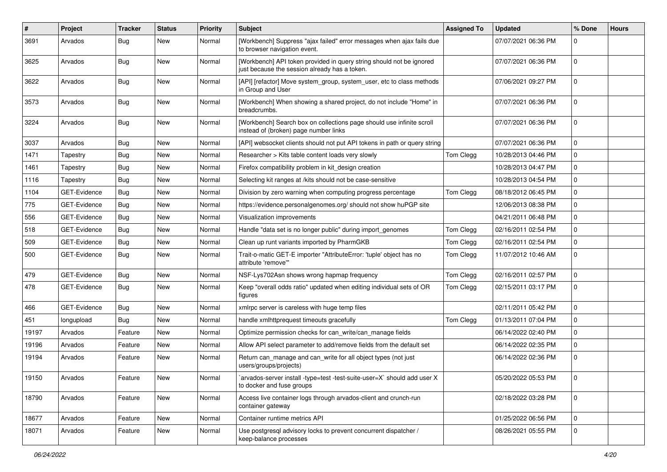| $\pmb{\#}$ | Project             | <b>Tracker</b> | <b>Status</b> | <b>Priority</b> | Subject                                                                                                               | <b>Assigned To</b> | <b>Updated</b>      | % Done         | <b>Hours</b> |
|------------|---------------------|----------------|---------------|-----------------|-----------------------------------------------------------------------------------------------------------------------|--------------------|---------------------|----------------|--------------|
| 3691       | Arvados             | <b>Bug</b>     | New           | Normal          | [Workbench] Suppress "ajax failed" error messages when ajax fails due<br>to browser navigation event.                 |                    | 07/07/2021 06:36 PM | 0              |              |
| 3625       | Arvados             | Bug            | New           | Normal          | [Workbench] API token provided in query string should not be ignored<br>just because the session already has a token. |                    | 07/07/2021 06:36 PM | 0              |              |
| 3622       | Arvados             | Bug            | New           | Normal          | [API] [refactor] Move system_group, system_user, etc to class methods<br>in Group and User                            |                    | 07/06/2021 09:27 PM | $\mathbf 0$    |              |
| 3573       | Arvados             | <b>Bug</b>     | <b>New</b>    | Normal          | [Workbench] When showing a shared project, do not include "Home" in<br>breadcrumbs.                                   |                    | 07/07/2021 06:36 PM | $\mathbf 0$    |              |
| 3224       | Arvados             | Bug            | <b>New</b>    | Normal          | [Workbench] Search box on collections page should use infinite scroll<br>instead of (broken) page number links        |                    | 07/07/2021 06:36 PM | $\mathbf{0}$   |              |
| 3037       | Arvados             | <b>Bug</b>     | New           | Normal          | [API] websocket clients should not put API tokens in path or query string                                             |                    | 07/07/2021 06:36 PM | $\mathbf 0$    |              |
| 1471       | Tapestry            | Bug            | New           | Normal          | Researcher > Kits table content loads very slowly                                                                     | Tom Clegg          | 10/28/2013 04:46 PM | 0              |              |
| 1461       | Tapestry            | Bug            | New           | Normal          | Firefox compatibility problem in kit_design creation                                                                  |                    | 10/28/2013 04:47 PM | $\mathbf 0$    |              |
| 1116       | Tapestry            | Bug            | New           | Normal          | Selecting kit ranges at /kits should not be case-sensitive                                                            |                    | 10/28/2013 04:54 PM | 0              |              |
| 1104       | GET-Evidence        | <b>Bug</b>     | New           | Normal          | Division by zero warning when computing progress percentage                                                           | Tom Clegg          | 08/18/2012 06:45 PM | $\mathbf 0$    |              |
| 775        | GET-Evidence        | <b>Bug</b>     | New           | Normal          | https://evidence.personalgenomes.org/ should not show huPGP site                                                      |                    | 12/06/2013 08:38 PM | $\mathbf 0$    |              |
| 556        | <b>GET-Evidence</b> | <b>Bug</b>     | New           | Normal          | Visualization improvements                                                                                            |                    | 04/21/2011 06:48 PM | 0              |              |
| 518        | GET-Evidence        | Bug            | New           | Normal          | Handle "data set is no longer public" during import_genomes                                                           | Tom Clegg          | 02/16/2011 02:54 PM | $\mathbf 0$    |              |
| 509        | GET-Evidence        | <b>Bug</b>     | New           | Normal          | Clean up runt variants imported by PharmGKB                                                                           | Tom Clegg          | 02/16/2011 02:54 PM | 0              |              |
| 500        | GET-Evidence        | <b>Bug</b>     | New           | Normal          | Trait-o-matic GET-E importer "AttributeError: 'tuple' object has no<br>attribute 'remove'"                            | Tom Clegg          | 11/07/2012 10:46 AM | $\mathbf 0$    |              |
| 479        | GET-Evidence        | Bug            | <b>New</b>    | Normal          | NSF-Lys702Asn shows wrong hapmap frequency                                                                            | Tom Clegg          | 02/16/2011 02:57 PM | 0              |              |
| 478        | GET-Evidence        | <b>Bug</b>     | New           | Normal          | Keep "overall odds ratio" updated when editing individual sets of OR<br>figures                                       | Tom Clegg          | 02/15/2011 03:17 PM | $\mathbf 0$    |              |
| 466        | <b>GET-Evidence</b> | <b>Bug</b>     | New           | Normal          | xmlrpc server is careless with huge temp files                                                                        |                    | 02/11/2011 05:42 PM | 0              |              |
| 451        | longupload          | <b>Bug</b>     | <b>New</b>    | Normal          | handle xmlhttprequest timeouts gracefully                                                                             | Tom Clegg          | 01/13/2011 07:04 PM | 0              |              |
| 19197      | Arvados             | Feature        | New           | Normal          | Optimize permission checks for can_write/can_manage fields                                                            |                    | 06/14/2022 02:40 PM | 0              |              |
| 19196      | Arvados             | Feature        | New           | Normal          | Allow API select parameter to add/remove fields from the default set                                                  |                    | 06/14/2022 02:35 PM | $\mathbf 0$    |              |
| 19194      | Arvados             | Feature        | New           | Normal          | Return can_manage and can_write for all object types (not just<br>users/groups/projects)                              |                    | 06/14/2022 02:36 PM | $\mathbf 0$    |              |
| 19150      | Arvados             | Feature        | New           | Normal          | `arvados-server install -type=test -test-suite-user=X` should add user X<br>to docker and fuse groups                 |                    | 05/20/2022 05:53 PM |                |              |
| 18790      | Arvados             | Feature        | New           | Normal          | Access live container logs through arvados-client and crunch-run<br>container gateway                                 |                    | 02/18/2022 03:28 PM | $\overline{0}$ |              |
| 18677      | Arvados             | Feature        | New           | Normal          | Container runtime metrics API                                                                                         |                    | 01/25/2022 06:56 PM | $\mathbf 0$    |              |
| 18071      | Arvados             | Feature        | New           | Normal          | Use postgresql advisory locks to prevent concurrent dispatcher /<br>keep-balance processes                            |                    | 08/26/2021 05:55 PM | $\overline{0}$ |              |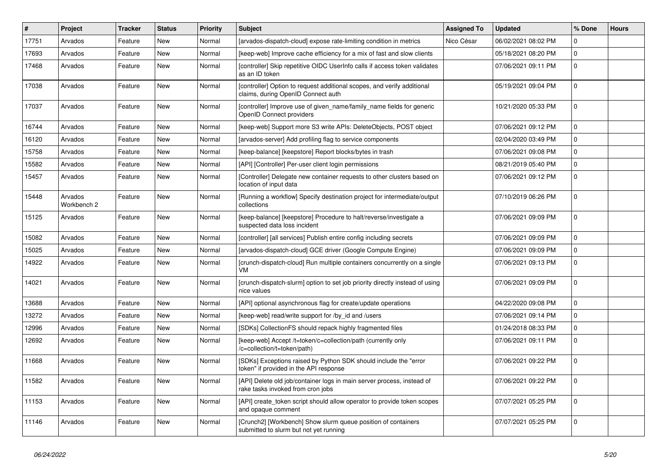| #     | Project                | <b>Tracker</b> | <b>Status</b> | <b>Priority</b> | <b>Subject</b>                                                                                                | <b>Assigned To</b> | <b>Updated</b>      | % Done              | <b>Hours</b> |
|-------|------------------------|----------------|---------------|-----------------|---------------------------------------------------------------------------------------------------------------|--------------------|---------------------|---------------------|--------------|
| 17751 | Arvados                | Feature        | New           | Normal          | [arvados-dispatch-cloud] expose rate-limiting condition in metrics                                            | Nico César         | 06/02/2021 08:02 PM | 0                   |              |
| 17693 | Arvados                | Feature        | <b>New</b>    | Normal          | [keep-web] Improve cache efficiency for a mix of fast and slow clients                                        |                    | 05/18/2021 08:20 PM | $\pmb{0}$           |              |
| 17468 | Arvados                | Feature        | <b>New</b>    | Normal          | [controller] Skip repetitive OIDC UserInfo calls if access token validates<br>as an ID token                  |                    | 07/06/2021 09:11 PM | $\mathbf 0$         |              |
| 17038 | Arvados                | Feature        | <b>New</b>    | Normal          | [controller] Option to request additional scopes, and verify additional<br>claims, during OpenID Connect auth |                    | 05/19/2021 09:04 PM | $\mathbf 0$         |              |
| 17037 | Arvados                | Feature        | <b>New</b>    | Normal          | [controller] Improve use of given_name/family_name fields for generic<br>OpenID Connect providers             |                    | 10/21/2020 05:33 PM | $\mathbf 0$         |              |
| 16744 | Arvados                | Feature        | <b>New</b>    | Normal          | [keep-web] Support more S3 write APIs: DeleteObjects, POST object                                             |                    | 07/06/2021 09:12 PM | $\mathbf 0$         |              |
| 16120 | Arvados                | Feature        | <b>New</b>    | Normal          | [arvados-server] Add profiling flag to service components                                                     |                    | 02/04/2020 03:49 PM | $\mathbf 0$         |              |
| 15758 | Arvados                | Feature        | New           | Normal          | [keep-balance] [keepstore] Report blocks/bytes in trash                                                       |                    | 07/06/2021 09:08 PM | $\mathbf 0$         |              |
| 15582 | Arvados                | Feature        | <b>New</b>    | Normal          | [API] [Controller] Per-user client login permissions                                                          |                    | 08/21/2019 05:40 PM | $\mathsf 0$         |              |
| 15457 | Arvados                | Feature        | New           | Normal          | [Controller] Delegate new container requests to other clusters based on<br>location of input data             |                    | 07/06/2021 09:12 PM | $\mathbf 0$         |              |
| 15448 | Arvados<br>Workbench 2 | Feature        | <b>New</b>    | Normal          | [Running a workflow] Specify destination project for intermediate/output<br>collections                       |                    | 07/10/2019 06:26 PM | $\mathsf{O}\xspace$ |              |
| 15125 | Arvados                | Feature        | <b>New</b>    | Normal          | [keep-balance] [keepstore] Procedure to halt/reverse/investigate a<br>suspected data loss incident            |                    | 07/06/2021 09:09 PM | $\mathbf 0$         |              |
| 15082 | Arvados                | Feature        | <b>New</b>    | Normal          | [controller] [all services] Publish entire config including secrets                                           |                    | 07/06/2021 09:09 PM | $\Omega$            |              |
| 15025 | Arvados                | Feature        | <b>New</b>    | Normal          | [arvados-dispatch-cloud] GCE driver (Google Compute Engine)                                                   |                    | 07/06/2021 09:09 PM | $\mathbf 0$         |              |
| 14922 | Arvados                | Feature        | <b>New</b>    | Normal          | [crunch-dispatch-cloud] Run multiple containers concurrently on a single<br>VM                                |                    | 07/06/2021 09:13 PM | l 0                 |              |
| 14021 | Arvados                | Feature        | <b>New</b>    | Normal          | [crunch-dispatch-slurm] option to set job priority directly instead of using<br>nice values                   |                    | 07/06/2021 09:09 PM | $\mathbf 0$         |              |
| 13688 | Arvados                | Feature        | <b>New</b>    | Normal          | [API] optional asynchronous flag for create/update operations                                                 |                    | 04/22/2020 09:08 PM | $\mathbf 0$         |              |
| 13272 | Arvados                | Feature        | New           | Normal          | [keep-web] read/write support for /by_id and /users                                                           |                    | 07/06/2021 09:14 PM | $\mathbf 0$         |              |
| 12996 | Arvados                | Feature        | <b>New</b>    | Normal          | [SDKs] CollectionFS should repack highly fragmented files                                                     |                    | 01/24/2018 08:33 PM | $\mathsf{O}\xspace$ |              |
| 12692 | Arvados                | Feature        | New           | Normal          | [keep-web] Accept /t=token/c=collection/path (currently only<br>/c=collection/t=token/path)                   |                    | 07/06/2021 09:11 PM | l 0                 |              |
| 11668 | Arvados                | Feature        | <b>New</b>    | Normal          | [SDKs] Exceptions raised by Python SDK should include the "error<br>token" if provided in the API response    |                    | 07/06/2021 09:22 PM | $\mathbf 0$         |              |
| 11582 | Arvados                | Feature        | <b>New</b>    | Normal          | [API] Delete old job/container logs in main server process, instead of<br>rake tasks invoked from cron jobs   |                    | 07/06/2021 09:22 PM | $\Omega$            |              |
| 11153 | Arvados                | Feature        | <b>New</b>    | Normal          | [API] create_token script should allow operator to provide token scopes<br>and opaque comment                 |                    | 07/07/2021 05:25 PM | $\mathbf 0$         |              |
| 11146 | Arvados                | Feature        | <b>New</b>    | Normal          | [Crunch2] [Workbench] Show slurm queue position of containers<br>submitted to slurm but not yet running       |                    | 07/07/2021 05:25 PM | $\mathbf 0$         |              |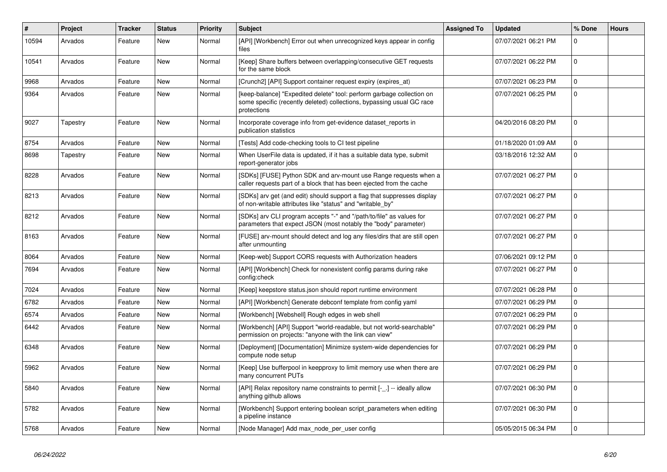| $\vert$ # | Project  | Tracker | <b>Status</b> | <b>Priority</b> | <b>Subject</b>                                                                                                                                                | <b>Assigned To</b> | <b>Updated</b>      | % Done       | <b>Hours</b> |
|-----------|----------|---------|---------------|-----------------|---------------------------------------------------------------------------------------------------------------------------------------------------------------|--------------------|---------------------|--------------|--------------|
| 10594     | Arvados  | Feature | New           | Normal          | [API] [Workbench] Error out when unrecognized keys appear in config<br>files                                                                                  |                    | 07/07/2021 06:21 PM | $\Omega$     |              |
| 10541     | Arvados  | Feature | <b>New</b>    | Normal          | [Keep] Share buffers between overlapping/consecutive GET requests<br>for the same block                                                                       |                    | 07/07/2021 06:22 PM | 0            |              |
| 9968      | Arvados  | Feature | New           | Normal          | [Crunch2] [API] Support container request expiry (expires_at)                                                                                                 |                    | 07/07/2021 06:23 PM | $\Omega$     |              |
| 9364      | Arvados  | Feature | <b>New</b>    | Normal          | [keep-balance] "Expedited delete" tool: perform garbage collection on<br>some specific (recently deleted) collections, bypassing usual GC race<br>protections |                    | 07/07/2021 06:25 PM | $\Omega$     |              |
| 9027      | Tapestry | Feature | New           | Normal          | Incorporate coverage info from get-evidence dataset_reports in<br>publication statistics                                                                      |                    | 04/20/2016 08:20 PM | $\Omega$     |              |
| 8754      | Arvados  | Feature | <b>New</b>    | Normal          | [Tests] Add code-checking tools to CI test pipeline                                                                                                           |                    | 01/18/2020 01:09 AM | 0            |              |
| 8698      | Tapestry | Feature | New           | Normal          | When UserFile data is updated, if it has a suitable data type, submit<br>report-generator jobs                                                                |                    | 03/18/2016 12:32 AM | 0            |              |
| 8228      | Arvados  | Feature | New           | Normal          | [SDKs] [FUSE] Python SDK and arv-mount use Range requests when a<br>caller requests part of a block that has been ejected from the cache                      |                    | 07/07/2021 06:27 PM | 0            |              |
| 8213      | Arvados  | Feature | New           | Normal          | [SDKs] arv get (and edit) should support a flag that suppresses display<br>of non-writable attributes like "status" and "writable_by"                         |                    | 07/07/2021 06:27 PM | 0            |              |
| 8212      | Arvados  | Feature | New           | Normal          | [SDKs] arv CLI program accepts "-" and "/path/to/file" as values for<br>parameters that expect JSON (most notably the "body" parameter)                       |                    | 07/07/2021 06:27 PM | $\Omega$     |              |
| 8163      | Arvados  | Feature | <b>New</b>    | Normal          | [FUSE] arv-mount should detect and log any files/dirs that are still open<br>after unmounting                                                                 |                    | 07/07/2021 06:27 PM | $\Omega$     |              |
| 8064      | Arvados  | Feature | New           | Normal          | [Keep-web] Support CORS requests with Authorization headers                                                                                                   |                    | 07/06/2021 09:12 PM | 0            |              |
| 7694      | Arvados  | Feature | New           | Normal          | [API] [Workbench] Check for nonexistent config params during rake<br>config:check                                                                             |                    | 07/07/2021 06:27 PM | $\Omega$     |              |
| 7024      | Arvados  | Feature | New           | Normal          | [Keep] keepstore status.json should report runtime environment                                                                                                |                    | 07/07/2021 06:28 PM | 0            |              |
| 6782      | Arvados  | Feature | New           | Normal          | [API] [Workbench] Generate debconf template from config yaml                                                                                                  |                    | 07/07/2021 06:29 PM | $\mathsf 0$  |              |
| 6574      | Arvados  | Feature | New           | Normal          | [Workbench] [Webshell] Rough edges in web shell                                                                                                               |                    | 07/07/2021 06:29 PM | 0            |              |
| 6442      | Arvados  | Feature | New           | Normal          | [Workbench] [API] Support "world-readable, but not world-searchable"<br>permission on projects: "anyone with the link can view"                               |                    | 07/07/2021 06:29 PM | 0            |              |
| 6348      | Arvados  | Feature | New           | Normal          | [Deployment] [Documentation] Minimize system-wide dependencies for<br>compute node setup                                                                      |                    | 07/07/2021 06:29 PM | 0            |              |
| 5962      | Arvados  | Feature | New           | Normal          | [Keep] Use bufferpool in keepproxy to limit memory use when there are<br>many concurrent PUTs                                                                 |                    | 07/07/2021 06:29 PM | $\mathbf{0}$ |              |
| 5840      | Arvados  | Feature | New           | Normal          | [API] Relax repository name constraints to permit [-_.] -- ideally allow<br>anything github allows                                                            |                    | 07/07/2021 06:30 PM | 0            |              |
| 5782      | Arvados  | Feature | New           | Normal          | [Workbench] Support entering boolean script parameters when editing<br>a pipeline instance                                                                    |                    | 07/07/2021 06:30 PM | 0            |              |
| 5768      | Arvados  | Feature | New           | Normal          | [Node Manager] Add max_node_per_user config                                                                                                                   |                    | 05/05/2015 06:34 PM | $\Omega$     |              |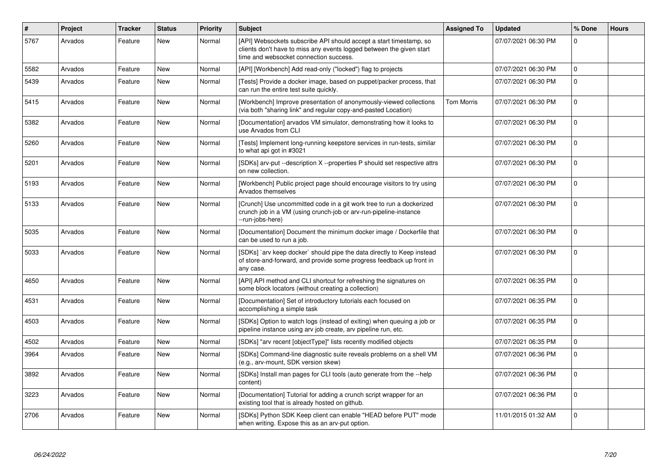| $\vert$ # | Project | <b>Tracker</b> | <b>Status</b> | <b>Priority</b> | <b>Subject</b>                                                                                                                                                                       | <b>Assigned To</b> | <b>Updated</b>      | % Done      | <b>Hours</b> |
|-----------|---------|----------------|---------------|-----------------|--------------------------------------------------------------------------------------------------------------------------------------------------------------------------------------|--------------------|---------------------|-------------|--------------|
| 5767      | Arvados | Feature        | New           | Normal          | [API] Websockets subscribe API should accept a start timestamp, so<br>clients don't have to miss any events logged between the given start<br>time and websocket connection success. |                    | 07/07/2021 06:30 PM | $\Omega$    |              |
| 5582      | Arvados | Feature        | New           | Normal          | [API] [Workbench] Add read-only ("locked") flag to projects                                                                                                                          |                    | 07/07/2021 06:30 PM | $\mathbf 0$ |              |
| 5439      | Arvados | Feature        | New           | Normal          | [Tests] Provide a docker image, based on puppet/packer process, that<br>can run the entire test suite quickly.                                                                       |                    | 07/07/2021 06:30 PM | $\mathbf 0$ |              |
| 5415      | Arvados | Feature        | New           | Normal          | [Workbench] Improve presentation of anonymously-viewed collections<br>(via both "sharing link" and regular copy-and-pasted Location)                                                 | Tom Morris         | 07/07/2021 06:30 PM | $\mathbf 0$ |              |
| 5382      | Arvados | Feature        | New           | Normal          | [Documentation] arvados VM simulator, demonstrating how it looks to<br>use Arvados from CLI                                                                                          |                    | 07/07/2021 06:30 PM | $\mathbf 0$ |              |
| 5260      | Arvados | Feature        | New           | Normal          | [Tests] Implement long-running keepstore services in run-tests, similar<br>to what api got in #3021                                                                                  |                    | 07/07/2021 06:30 PM | $\Omega$    |              |
| 5201      | Arvados | Feature        | New           | Normal          | [SDKs] arv-put --description X --properties P should set respective attrs<br>on new collection.                                                                                      |                    | 07/07/2021 06:30 PM | $\mathbf 0$ |              |
| 5193      | Arvados | Feature        | New           | Normal          | [Workbench] Public project page should encourage visitors to try using<br>Arvados themselves                                                                                         |                    | 07/07/2021 06:30 PM | $\mathbf 0$ |              |
| 5133      | Arvados | Feature        | New           | Normal          | [Crunch] Use uncommitted code in a git work tree to run a dockerized<br>crunch job in a VM (using crunch-job or arv-run-pipeline-instance<br>--run-jobs-here)                        |                    | 07/07/2021 06:30 PM | $\mathbf 0$ |              |
| 5035      | Arvados | Feature        | <b>New</b>    | Normal          | [Documentation] Document the minimum docker image / Dockerfile that<br>can be used to run a job.                                                                                     |                    | 07/07/2021 06:30 PM | $\Omega$    |              |
| 5033      | Arvados | Feature        | New           | Normal          | [SDKs] `arv keep docker` should pipe the data directly to Keep instead<br>of store-and-forward, and provide some progress feedback up front in<br>any case.                          |                    | 07/07/2021 06:30 PM | $\Omega$    |              |
| 4650      | Arvados | Feature        | New           | Normal          | [API] API method and CLI shortcut for refreshing the signatures on<br>some block locators (without creating a collection)                                                            |                    | 07/07/2021 06:35 PM | $\Omega$    |              |
| 4531      | Arvados | Feature        | New           | Normal          | [Documentation] Set of introductory tutorials each focused on<br>accomplishing a simple task                                                                                         |                    | 07/07/2021 06:35 PM | $\mathbf 0$ |              |
| 4503      | Arvados | Feature        | New           | Normal          | [SDKs] Option to watch logs (instead of exiting) when queuing a job or<br>pipeline instance using ary job create, ary pipeline run, etc.                                             |                    | 07/07/2021 06:35 PM | $\mathbf 0$ |              |
| 4502      | Arvados | Feature        | <b>New</b>    | Normal          | [SDKs] "arv recent [objectType]" lists recently modified objects                                                                                                                     |                    | 07/07/2021 06:35 PM | $\mathbf 0$ |              |
| 3964      | Arvados | Feature        | New           | Normal          | [SDKs] Command-line diagnostic suite reveals problems on a shell VM<br>(e.g., arv-mount, SDK version skew)                                                                           |                    | 07/07/2021 06:36 PM | $\mathbf 0$ |              |
| 3892      | Arvados | Feature        | <b>New</b>    | Normal          | [SDKs] Install man pages for CLI tools (auto generate from the --help<br>content)                                                                                                    |                    | 07/07/2021 06:36 PM | $\Omega$    |              |
| 3223      | Arvados | Feature        | New           | Normal          | [Documentation] Tutorial for adding a crunch script wrapper for an<br>existing tool that is already hosted on github.                                                                |                    | 07/07/2021 06:36 PM | $\mathbf 0$ |              |
| 2706      | Arvados | Feature        | New           | Normal          | [SDKs] Python SDK Keep client can enable "HEAD before PUT" mode<br>when writing. Expose this as an arv-put option.                                                                   |                    | 11/01/2015 01:32 AM | $\Omega$    |              |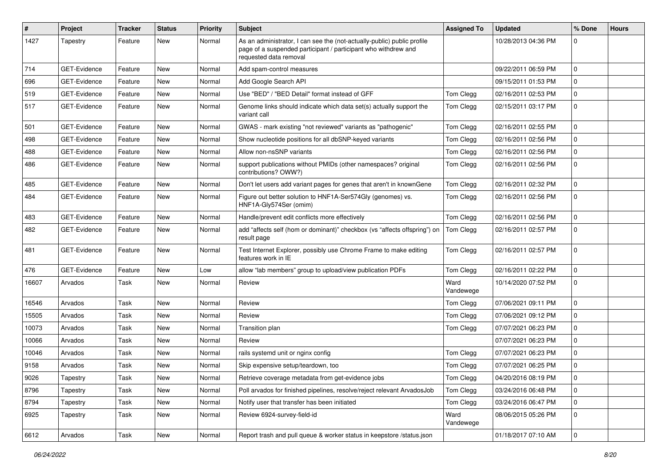| $\pmb{\#}$ | Project      | <b>Tracker</b> | <b>Status</b> | <b>Priority</b> | <b>Subject</b>                                                                                                                                                      | <b>Assigned To</b> | <b>Updated</b>      | % Done              | <b>Hours</b> |
|------------|--------------|----------------|---------------|-----------------|---------------------------------------------------------------------------------------------------------------------------------------------------------------------|--------------------|---------------------|---------------------|--------------|
| 1427       | Tapestry     | Feature        | New           | Normal          | As an administrator, I can see the (not-actually-public) public profile<br>page of a suspended participant / participant who withdrew and<br>requested data removal |                    | 10/28/2013 04:36 PM | 0                   |              |
| 714        | GET-Evidence | Feature        | <b>New</b>    | Normal          | Add spam-control measures                                                                                                                                           |                    | 09/22/2011 06:59 PM | $\mathbf 0$         |              |
| 696        | GET-Evidence | Feature        | New           | Normal          | Add Google Search API                                                                                                                                               |                    | 09/15/2011 01:53 PM | $\mathbf 0$         |              |
| 519        | GET-Evidence | Feature        | New           | Normal          | Use "BED" / "BED Detail" format instead of GFF                                                                                                                      | Tom Clegg          | 02/16/2011 02:53 PM | 0                   |              |
| 517        | GET-Evidence | Feature        | New           | Normal          | Genome links should indicate which data set(s) actually support the<br>variant call                                                                                 | Tom Clegg          | 02/15/2011 03:17 PM | $\mathbf 0$         |              |
| 501        | GET-Evidence | Feature        | New           | Normal          | GWAS - mark existing "not reviewed" variants as "pathogenic"                                                                                                        | Tom Clegg          | 02/16/2011 02:55 PM | 0                   |              |
| 498        | GET-Evidence | Feature        | New           | Normal          | Show nucleotide positions for all dbSNP-keyed variants                                                                                                              | Tom Clegg          | 02/16/2011 02:56 PM | $\mathbf 0$         |              |
| 488        | GET-Evidence | Feature        | New           | Normal          | Allow non-nsSNP variants                                                                                                                                            | Tom Clegg          | 02/16/2011 02:56 PM | $\mathbf 0$         |              |
| 486        | GET-Evidence | Feature        | New           | Normal          | support publications without PMIDs (other namespaces? original<br>contributions? OWW?)                                                                              | Tom Clegg          | 02/16/2011 02:56 PM | $\Omega$            |              |
| 485        | GET-Evidence | Feature        | New           | Normal          | Don't let users add variant pages for genes that aren't in knownGene                                                                                                | Tom Clegg          | 02/16/2011 02:32 PM | 0                   |              |
| 484        | GET-Evidence | Feature        | New           | Normal          | Figure out better solution to HNF1A-Ser574Gly (genomes) vs.<br>HNF1A-Gly574Ser (omim)                                                                               | Tom Clegg          | 02/16/2011 02:56 PM | $\mathbf 0$         |              |
| 483        | GET-Evidence | Feature        | New           | Normal          | Handle/prevent edit conflicts more effectively                                                                                                                      | Tom Clegg          | 02/16/2011 02:56 PM | $\Omega$            |              |
| 482        | GET-Evidence | Feature        | New           | Normal          | add "affects self (hom or dominant)" checkbox (vs "affects offspring") on<br>result page                                                                            | Tom Clegg          | 02/16/2011 02:57 PM | $\mathbf 0$         |              |
| 481        | GET-Evidence | Feature        | New           | Normal          | Test Internet Explorer, possibly use Chrome Frame to make editing<br>features work in IE                                                                            | Tom Clegg          | 02/16/2011 02:57 PM | $\mathbf 0$         |              |
| 476        | GET-Evidence | Feature        | New           | Low             | allow "lab members" group to upload/view publication PDFs                                                                                                           | Tom Clegg          | 02/16/2011 02:22 PM | 0                   |              |
| 16607      | Arvados      | Task           | New           | Normal          | Review                                                                                                                                                              | Ward<br>Vandewege  | 10/14/2020 07:52 PM | $\Omega$            |              |
| 16546      | Arvados      | Task           | New           | Normal          | Review                                                                                                                                                              | Tom Clegg          | 07/06/2021 09:11 PM | $\Omega$            |              |
| 15505      | Arvados      | Task           | New           | Normal          | Review                                                                                                                                                              | Tom Clegg          | 07/06/2021 09:12 PM | $\mathbf 0$         |              |
| 10073      | Arvados      | Task           | New           | Normal          | Transition plan                                                                                                                                                     | Tom Clegg          | 07/07/2021 06:23 PM | $\mathsf{O}\xspace$ |              |
| 10066      | Arvados      | Task           | New           | Normal          | Review                                                                                                                                                              |                    | 07/07/2021 06:23 PM | $\mathbf 0$         |              |
| 10046      | Arvados      | Task           | New           | Normal          | rails systemd unit or nginx config                                                                                                                                  | Tom Clegg          | 07/07/2021 06:23 PM | $\mathbf 0$         |              |
| 9158       | Arvados      | Task           | New           | Normal          | Skip expensive setup/teardown, too                                                                                                                                  | Tom Clegg          | 07/07/2021 06:25 PM | 0                   |              |
| 9026       | Tapestry     | Task           | New           | Normal          | Retrieve coverage metadata from get-evidence jobs                                                                                                                   | Tom Clegg          | 04/20/2016 08:19 PM | 0                   |              |
| 8796       | Tapestry     | Task           | New           | Normal          | Poll arvados for finished pipelines, resolve/reject relevant ArvadosJob                                                                                             | Tom Clegg          | 03/24/2016 06:48 PM | $\mathbf 0$         |              |
| 8794       | Tapestry     | Task           | New           | Normal          | Notify user that transfer has been initiated                                                                                                                        | Tom Clegg          | 03/24/2016 06:47 PM | $\mathbf 0$         |              |
| 6925       | Tapestry     | Task           | New           | Normal          | Review 6924-survey-field-id                                                                                                                                         | Ward<br>Vandewege  | 08/06/2015 05:26 PM | $\mathbf 0$         |              |
| 6612       | Arvados      | Task           | New           | Normal          | Report trash and pull queue & worker status in keepstore /status.json                                                                                               |                    | 01/18/2017 07:10 AM | $\mathsf{O}\xspace$ |              |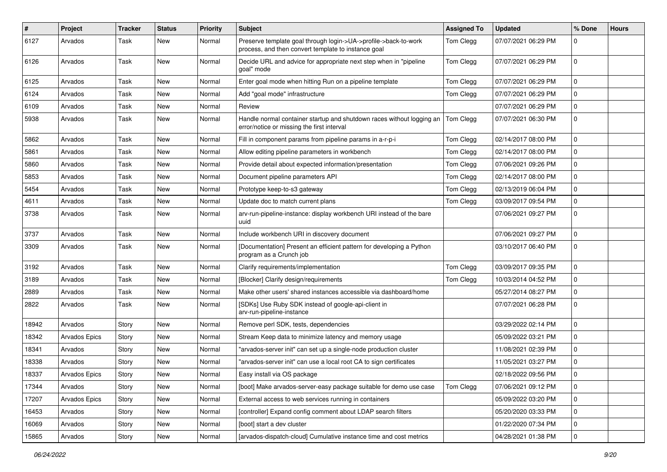| $\sharp$ | Project              | Tracker | <b>Status</b> | <b>Priority</b> | <b>Subject</b>                                                                                                         | <b>Assigned To</b> | <b>Updated</b>      | % Done      | <b>Hours</b> |
|----------|----------------------|---------|---------------|-----------------|------------------------------------------------------------------------------------------------------------------------|--------------------|---------------------|-------------|--------------|
| 6127     | Arvados              | Task    | New           | Normal          | Preserve template goal through login->UA->profile->back-to-work<br>process, and then convert template to instance goal | Tom Clegg          | 07/07/2021 06:29 PM | 0           |              |
| 6126     | Arvados              | Task    | New           | Normal          | Decide URL and advice for appropriate next step when in "pipeline<br>goal" mode                                        | Tom Clegg          | 07/07/2021 06:29 PM | 0           |              |
| 6125     | Arvados              | Task    | <b>New</b>    | Normal          | Enter goal mode when hitting Run on a pipeline template                                                                | Tom Clegg          | 07/07/2021 06:29 PM | 0           |              |
| 6124     | Arvados              | Task    | <b>New</b>    | Normal          | Add "goal mode" infrastructure                                                                                         | Tom Clegg          | 07/07/2021 06:29 PM | 0           |              |
| 6109     | Arvados              | Task    | New           | Normal          | Review                                                                                                                 |                    | 07/07/2021 06:29 PM | 0           |              |
| 5938     | Arvados              | Task    | New           | Normal          | Handle normal container startup and shutdown races without logging an<br>error/notice or missing the first interval    | Tom Clegg          | 07/07/2021 06:30 PM | 0           |              |
| 5862     | Arvados              | Task    | New           | Normal          | Fill in component params from pipeline params in a-r-p-i                                                               | Tom Clegg          | 02/14/2017 08:00 PM | $\mathbf 0$ |              |
| 5861     | Arvados              | Task    | New           | Normal          | Allow editing pipeline parameters in workbench                                                                         | Tom Clegg          | 02/14/2017 08:00 PM | 0           |              |
| 5860     | Arvados              | Task    | New           | Normal          | Provide detail about expected information/presentation                                                                 | Tom Clegg          | 07/06/2021 09:26 PM | 0           |              |
| 5853     | Arvados              | Task    | New           | Normal          | Document pipeline parameters API                                                                                       | Tom Clegg          | 02/14/2017 08:00 PM | 0           |              |
| 5454     | Arvados              | Task    | <b>New</b>    | Normal          | Prototype keep-to-s3 gateway                                                                                           | Tom Clegg          | 02/13/2019 06:04 PM | 0           |              |
| 4611     | Arvados              | Task    | New           | Normal          | Update doc to match current plans                                                                                      | Tom Clegg          | 03/09/2017 09:54 PM | 0           |              |
| 3738     | Arvados              | Task    | New           | Normal          | arv-run-pipeline-instance: display workbench URI instead of the bare<br>uuid                                           |                    | 07/06/2021 09:27 PM | 0           |              |
| 3737     | Arvados              | Task    | <b>New</b>    | Normal          | Include workbench URI in discovery document                                                                            |                    | 07/06/2021 09:27 PM | 0           |              |
| 3309     | Arvados              | Task    | New           | Normal          | [Documentation] Present an efficient pattern for developing a Python<br>program as a Crunch job                        |                    | 03/10/2017 06:40 PM | 0           |              |
| 3192     | Arvados              | Task    | New           | Normal          | Clarify requirements/implementation                                                                                    | Tom Clegg          | 03/09/2017 09:35 PM | 0           |              |
| 3189     | Arvados              | Task    | New           | Normal          | [Blocker] Clarify design/requirements                                                                                  | Tom Clegg          | 10/03/2014 04:52 PM | 0           |              |
| 2889     | Arvados              | Task    | New           | Normal          | Make other users' shared instances accessible via dashboard/home                                                       |                    | 05/27/2014 08:27 PM | 0           |              |
| 2822     | Arvados              | Task    | New           | Normal          | [SDKs] Use Ruby SDK instead of google-api-client in<br>arv-run-pipeline-instance                                       |                    | 07/07/2021 06:28 PM | 0           |              |
| 18942    | Arvados              | Story   | New           | Normal          | Remove perl SDK, tests, dependencies                                                                                   |                    | 03/29/2022 02:14 PM | $\mathbf 0$ |              |
| 18342    | <b>Arvados Epics</b> | Story   | New           | Normal          | Stream Keep data to minimize latency and memory usage                                                                  |                    | 05/09/2022 03:21 PM | 0           |              |
| 18341    | Arvados              | Story   | New           | Normal          | 'arvados-server init" can set up a single-node production cluster                                                      |                    | 11/08/2021 02:39 PM | 0           |              |
| 18338    | Arvados              | Story   | New           | Normal          | 'arvados-server init" can use a local root CA to sign certificates                                                     |                    | 11/05/2021 03:27 PM | 0           |              |
| 18337    | Arvados Epics        | Story   | New           | Normal          | Easy install via OS package                                                                                            |                    | 02/18/2022 09:56 PM | 0           |              |
| 17344    | Arvados              | Story   | New           | Normal          | [boot] Make arvados-server-easy package suitable for demo use case                                                     | Tom Clegg          | 07/06/2021 09:12 PM | 0           |              |
| 17207    | Arvados Epics        | Story   | New           | Normal          | External access to web services running in containers                                                                  |                    | 05/09/2022 03:20 PM | 0           |              |
| 16453    | Arvados              | Story   | New           | Normal          | [controller] Expand config comment about LDAP search filters                                                           |                    | 05/20/2020 03:33 PM | 0           |              |
| 16069    | Arvados              | Story   | New           | Normal          | [boot] start a dev cluster                                                                                             |                    | 01/22/2020 07:34 PM | 0           |              |
| 15865    | Arvados              | Story   | New           | Normal          | [arvados-dispatch-cloud] Cumulative instance time and cost metrics                                                     |                    | 04/28/2021 01:38 PM | 0           |              |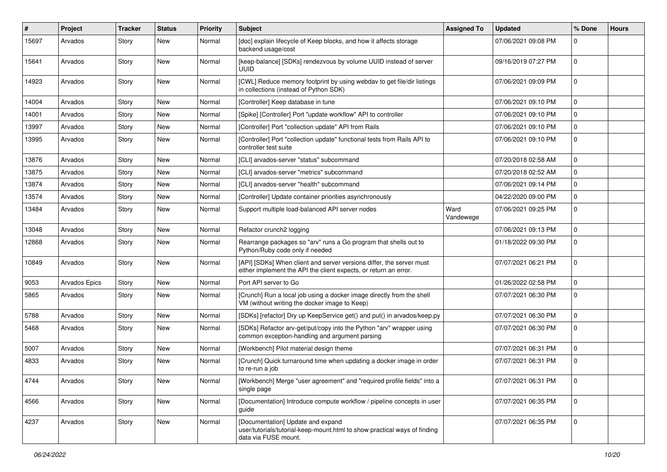| ∦     | Project              | <b>Tracker</b> | <b>Status</b> | <b>Priority</b> | <b>Subject</b>                                                                                                                           | <b>Assigned To</b> | <b>Updated</b>      | % Done              | <b>Hours</b> |
|-------|----------------------|----------------|---------------|-----------------|------------------------------------------------------------------------------------------------------------------------------------------|--------------------|---------------------|---------------------|--------------|
| 15697 | Arvados              | Story          | New           | Normal          | [doc] explain lifecycle of Keep blocks, and how it affects storage<br>backend usage/cost                                                 |                    | 07/06/2021 09:08 PM | $\mathbf 0$         |              |
| 15641 | Arvados              | Story          | New           | Normal          | [keep-balance] [SDKs] rendezvous by volume UUID instead of server<br><b>UUID</b>                                                         |                    | 09/16/2019 07:27 PM | $\mathbf 0$         |              |
| 14923 | Arvados              | Story          | New           | Normal          | [CWL] Reduce memory footprint by using webdav to get file/dir listings<br>in collections (instead of Python SDK)                         |                    | 07/06/2021 09:09 PM | $\mathbf 0$         |              |
| 14004 | Arvados              | Story          | New           | Normal          | [Controller] Keep database in tune                                                                                                       |                    | 07/06/2021 09:10 PM | 0                   |              |
| 14001 | Arvados              | Story          | New           | Normal          | [Spike] [Controller] Port "update workflow" API to controller                                                                            |                    | 07/06/2021 09:10 PM | $\mathbf 0$         |              |
| 13997 | Arvados              | Story          | New           | Normal          | [Controller] Port "collection update" API from Rails                                                                                     |                    | 07/06/2021 09:10 PM | $\mathbf 0$         |              |
| 13995 | Arvados              | Story          | New           | Normal          | [Controller] Port "collection update" functional tests from Rails API to<br>controller test suite                                        |                    | 07/06/2021 09:10 PM | $\mathbf 0$         |              |
| 13876 | Arvados              | Story          | New           | Normal          | [CLI] arvados-server "status" subcommand                                                                                                 |                    | 07/20/2018 02:58 AM | $\mathbf 0$         |              |
| 13875 | Arvados              | Story          | New           | Normal          | [CLI] arvados-server "metrics" subcommand                                                                                                |                    | 07/20/2018 02:52 AM | 0                   |              |
| 13874 | Arvados              | Story          | New           | Normal          | [CLI] arvados-server "health" subcommand                                                                                                 |                    | 07/06/2021 09:14 PM | 0                   |              |
| 13574 | Arvados              | Story          | New           | Normal          | [Controller] Update container priorities asynchronously                                                                                  |                    | 04/22/2020 09:00 PM | 0                   |              |
| 13484 | Arvados              | Story          | New           | Normal          | Support multiple load-balanced API server nodes                                                                                          | Ward<br>Vandewege  | 07/06/2021 09:25 PM | $\mathbf 0$         |              |
| 13048 | Arvados              | Story          | New           | Normal          | Refactor crunch2 logging                                                                                                                 |                    | 07/06/2021 09:13 PM | $\mathbf{0}$        |              |
| 12868 | Arvados              | Story          | New           | Normal          | Rearrange packages so "arv" runs a Go program that shells out to<br>Python/Ruby code only if needed                                      |                    | 01/18/2022 09:30 PM | $\mathbf 0$         |              |
| 10849 | Arvados              | Story          | New           | Normal          | [API] [SDKs] When client and server versions differ, the server must<br>either implement the API the client expects, or return an error. |                    | 07/07/2021 06:21 PM | $\mathbf 0$         |              |
| 9053  | <b>Arvados Epics</b> | Story          | New           | Normal          | Port API server to Go                                                                                                                    |                    | 01/26/2022 02:58 PM | 0                   |              |
| 5865  | Arvados              | Story          | New           | Normal          | [Crunch] Run a local job using a docker image directly from the shell<br>VM (without writing the docker image to Keep)                   |                    | 07/07/2021 06:30 PM | $\mathbf 0$         |              |
| 5788  | Arvados              | Story          | New           | Normal          | [SDKs] [refactor] Dry up KeepService get() and put() in arvados/keep.py                                                                  |                    | 07/07/2021 06:30 PM | 0                   |              |
| 5468  | Arvados              | Story          | New           | Normal          | [SDKs] Refactor arv-get/put/copy into the Python "arv" wrapper using<br>common exception-handling and argument parsing                   |                    | 07/07/2021 06:30 PM | 0                   |              |
| 5007  | Arvados              | Story          | New           | Normal          | [Workbench] Pilot material design theme                                                                                                  |                    | 07/07/2021 06:31 PM | 0                   |              |
| 4833  | Arvados              | Story          | New           | Normal          | [Crunch] Quick turnaround time when updating a docker image in order<br>to re-run a job                                                  |                    | 07/07/2021 06:31 PM | $\mathsf{O}\xspace$ |              |
| 4744  | Arvados              | Story          | New           | Normal          | [Workbench] Merge "user agreement" and "required profile fields" into a<br>single page                                                   |                    | 07/07/2021 06:31 PM | l 0                 |              |
| 4566  | Arvados              | Story          | New           | Normal          | [Documentation] Introduce compute workflow / pipeline concepts in user<br>guide                                                          |                    | 07/07/2021 06:35 PM | $\overline{0}$      |              |
| 4237  | Arvados              | Story          | New           | Normal          | [Documentation] Update and expand<br>user/tutorials/tutorial-keep-mount.html to show practical ways of finding<br>data via FUSE mount.   |                    | 07/07/2021 06:35 PM | $\overline{0}$      |              |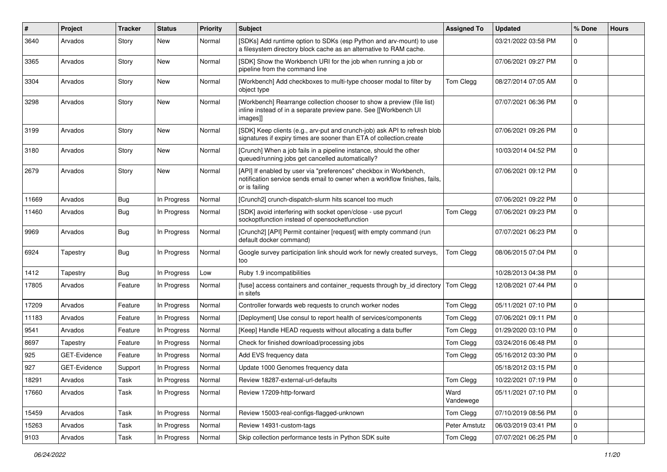| #     | Project      | <b>Tracker</b> | <b>Status</b> | <b>Priority</b> | <b>Subject</b>                                                                                                                                                   | <b>Assigned To</b> | <b>Updated</b>      | % Done       | <b>Hours</b> |
|-------|--------------|----------------|---------------|-----------------|------------------------------------------------------------------------------------------------------------------------------------------------------------------|--------------------|---------------------|--------------|--------------|
| 3640  | Arvados      | Story          | New           | Normal          | [SDKs] Add runtime option to SDKs (esp Python and arv-mount) to use<br>a filesystem directory block cache as an alternative to RAM cache.                        |                    | 03/21/2022 03:58 PM | $\Omega$     |              |
| 3365  | Arvados      | Story          | New           | Normal          | [SDK] Show the Workbench URI for the job when running a job or<br>pipeline from the command line                                                                 |                    | 07/06/2021 09:27 PM | $\Omega$     |              |
| 3304  | Arvados      | Story          | New           | Normal          | [Workbench] Add checkboxes to multi-type chooser modal to filter by<br>object type                                                                               | Tom Clegg          | 08/27/2014 07:05 AM | $\mathbf 0$  |              |
| 3298  | Arvados      | Story          | New           | Normal          | [Workbench] Rearrange collection chooser to show a preview (file list)<br>inline instead of in a separate preview pane. See [[Workbench UI<br>images]]           |                    | 07/07/2021 06:36 PM | $\mathbf 0$  |              |
| 3199  | Arvados      | Story          | New           | Normal          | [SDK] Keep clients (e.g., arv-put and crunch-job) ask API to refresh blob<br>signatures if expiry times are sooner than ETA of collection.create                 |                    | 07/06/2021 09:26 PM | $\mathbf 0$  |              |
| 3180  | Arvados      | Story          | New           | Normal          | [Crunch] When a job fails in a pipeline instance, should the other<br>queued/running jobs get cancelled automatically?                                           |                    | 10/03/2014 04:52 PM | $\mathbf 0$  |              |
| 2679  | Arvados      | Story          | New           | Normal          | [API] If enabled by user via "preferences" checkbox in Workbench,<br>notification service sends email to owner when a workflow finishes, fails,<br>or is failing |                    | 07/06/2021 09:12 PM | $\Omega$     |              |
| 11669 | Arvados      | Bug            | In Progress   | Normal          | [Crunch2] crunch-dispatch-slurm hits scancel too much                                                                                                            |                    | 07/06/2021 09:22 PM | $\Omega$     |              |
| 11460 | Arvados      | <b>Bug</b>     | In Progress   | Normal          | [SDK] avoid interfering with socket open/close - use pycurl<br>sockoptfunction instead of opensocketfunction                                                     | Tom Clegg          | 07/06/2021 09:23 PM | $\Omega$     |              |
| 9969  | Arvados      | Bug            | In Progress   | Normal          | [Crunch2] [API] Permit container [request] with empty command (run<br>default docker command)                                                                    |                    | 07/07/2021 06:23 PM | $\Omega$     |              |
| 6924  | Tapestry     | Bug            | In Progress   | Normal          | Google survey participation link should work for newly created surveys,<br>too                                                                                   | Tom Clegg          | 08/06/2015 07:04 PM | $\mathbf{0}$ |              |
| 1412  | Tapestry     | Bug            | In Progress   | Low             | Ruby 1.9 incompatibilities                                                                                                                                       |                    | 10/28/2013 04:38 PM | $\mathbf 0$  |              |
| 17805 | Arvados      | Feature        | In Progress   | Normal          | [fuse] access containers and container_requests through by_id directory<br>in sitefs                                                                             | Tom Clegg          | 12/08/2021 07:44 PM | $\mathbf 0$  |              |
| 17209 | Arvados      | Feature        | In Progress   | Normal          | Controller forwards web requests to crunch worker nodes                                                                                                          | Tom Clegg          | 05/11/2021 07:10 PM | $\mathbf 0$  |              |
| 11183 | Arvados      | Feature        | In Progress   | Normal          | [Deployment] Use consul to report health of services/components                                                                                                  | Tom Clegg          | 07/06/2021 09:11 PM | $\mathbf 0$  |              |
| 9541  | Arvados      | Feature        | In Progress   | Normal          | [Keep] Handle HEAD requests without allocating a data buffer                                                                                                     | Tom Clegg          | 01/29/2020 03:10 PM | $\mathbf 0$  |              |
| 8697  | Tapestry     | Feature        | In Progress   | Normal          | Check for finished download/processing jobs                                                                                                                      | Tom Clegg          | 03/24/2016 06:48 PM | $\mathbf 0$  |              |
| 925   | GET-Evidence | Feature        | In Progress   | Normal          | Add EVS frequency data                                                                                                                                           | Tom Clegg          | 05/16/2012 03:30 PM | $\mathbf 0$  |              |
| 927   | GET-Evidence | Support        | In Progress   | Normal          | Update 1000 Genomes frequency data                                                                                                                               |                    | 05/18/2012 03:15 PM | $\mathbf 0$  |              |
| 18291 | Arvados      | Task           | In Progress   | Normal          | Review 18287-external-url-defaults                                                                                                                               | Tom Clegg          | 10/22/2021 07:19 PM | O            |              |
| 17660 | Arvados      | Task           | In Progress   | Normal          | Review 17209-http-forward                                                                                                                                        | Ward<br>Vandewege  | 05/11/2021 07:10 PM | $\mathbf 0$  |              |
| 15459 | Arvados      | Task           | In Progress   | Normal          | Review 15003-real-configs-flagged-unknown                                                                                                                        | Tom Clegg          | 07/10/2019 08:56 PM | $\mathbf 0$  |              |
| 15263 | Arvados      | Task           | In Progress   | Normal          | Review 14931-custom-tags                                                                                                                                         | Peter Amstutz      | 06/03/2019 03:41 PM | $\mathbf 0$  |              |
| 9103  | Arvados      | Task           | In Progress   | Normal          | Skip collection performance tests in Python SDK suite                                                                                                            | Tom Clegg          | 07/07/2021 06:25 PM | 0            |              |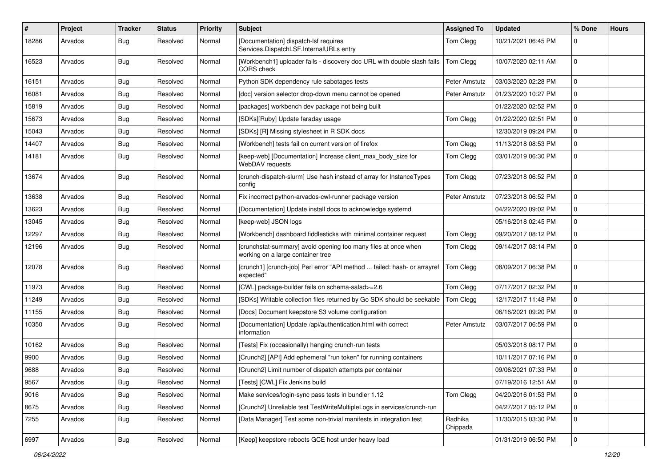| #     | Project | Tracker    | <b>Status</b> | <b>Priority</b> | Subject                                                                                             | <b>Assigned To</b>  | <b>Updated</b>      | % Done         | <b>Hours</b> |
|-------|---------|------------|---------------|-----------------|-----------------------------------------------------------------------------------------------------|---------------------|---------------------|----------------|--------------|
| 18286 | Arvados | <b>Bug</b> | Resolved      | Normal          | [Documentation] dispatch-lsf requires<br>Services.DispatchLSF.InternalURLs entry                    | Tom Clegg           | 10/21/2021 06:45 PM | 0              |              |
| 16523 | Arvados | <b>Bug</b> | Resolved      | Normal          | [Workbench1] uploader fails - discovery doc URL with double slash fails<br>CORS check               | Tom Clegg           | 10/07/2020 02:11 AM | 0              |              |
| 16151 | Arvados | Bug        | Resolved      | Normal          | Python SDK dependency rule sabotages tests                                                          | Peter Amstutz       | 03/03/2020 02:28 PM | $\mathbf 0$    |              |
| 16081 | Arvados | <b>Bug</b> | Resolved      | Normal          | [doc] version selector drop-down menu cannot be opened                                              | Peter Amstutz       | 01/23/2020 10:27 PM | 0              |              |
| 15819 | Arvados | <b>Bug</b> | Resolved      | Normal          | [packages] workbench dev package not being built                                                    |                     | 01/22/2020 02:52 PM | 0              |              |
| 15673 | Arvados | <b>Bug</b> | Resolved      | Normal          | [SDKs][Ruby] Update faraday usage                                                                   | Tom Clegg           | 01/22/2020 02:51 PM | 0              |              |
| 15043 | Arvados | <b>Bug</b> | Resolved      | Normal          | [SDKs] [R] Missing stylesheet in R SDK docs                                                         |                     | 12/30/2019 09:24 PM | 0              |              |
| 14407 | Arvados | Bug        | Resolved      | Normal          | [Workbench] tests fail on current version of firefox                                                | Tom Clegg           | 11/13/2018 08:53 PM | 0              |              |
| 14181 | Arvados | <b>Bug</b> | Resolved      | Normal          | [keep-web] [Documentation] Increase client max body size for<br>WebDAV requests                     | Tom Clegg           | 03/01/2019 06:30 PM | 0              |              |
| 13674 | Arvados | Bug        | Resolved      | Normal          | [crunch-dispatch-slurm] Use hash instead of array for InstanceTypes<br>config                       | Tom Clegg           | 07/23/2018 06:52 PM | 0              |              |
| 13638 | Arvados | <b>Bug</b> | Resolved      | Normal          | Fix incorrect python-arvados-cwl-runner package version                                             | Peter Amstutz       | 07/23/2018 06:52 PM | 0              |              |
| 13623 | Arvados | <b>Bug</b> | Resolved      | Normal          | [Documentation] Update install docs to acknowledge systemd                                          |                     | 04/22/2020 09:02 PM | 0              |              |
| 13045 | Arvados | <b>Bug</b> | Resolved      | Normal          | [keep-web] JSON logs                                                                                |                     | 05/16/2018 02:45 PM | 0              |              |
| 12297 | Arvados | Bug        | Resolved      | Normal          | [Workbench] dashboard fiddlesticks with minimal container request                                   | Tom Clegg           | 09/20/2017 08:12 PM | 0              |              |
| 12196 | Arvados | <b>Bug</b> | Resolved      | Normal          | [crunchstat-summary] avoid opening too many files at once when<br>working on a large container tree | Tom Clegg           | 09/14/2017 08:14 PM | 0              |              |
| 12078 | Arvados | <b>Bug</b> | Resolved      | Normal          | [crunch1] [crunch-job] Perl error "API method  failed: hash- or arrayref<br>expected"               | Tom Clegg           | 08/09/2017 06:38 PM | 0              |              |
| 11973 | Arvados | <b>Bug</b> | Resolved      | Normal          | [CWL] package-builder fails on schema-salad>=2.6                                                    | Tom Clegg           | 07/17/2017 02:32 PM | 0              |              |
| 11249 | Arvados | Bug        | Resolved      | Normal          | [SDKs] Writable collection files returned by Go SDK should be seekable                              | Tom Clegg           | 12/17/2017 11:48 PM | 0              |              |
| 11155 | Arvados | <b>Bug</b> | Resolved      | Normal          | [Docs] Document keepstore S3 volume configuration                                                   |                     | 06/16/2021 09:20 PM | 0              |              |
| 10350 | Arvados | <b>Bug</b> | Resolved      | Normal          | [Documentation] Update /api/authentication.html with correct<br>information                         | Peter Amstutz       | 03/07/2017 06:59 PM | 0              |              |
| 10162 | Arvados | <b>Bug</b> | Resolved      | Normal          | [Tests] Fix (occasionally) hanging crunch-run tests                                                 |                     | 05/03/2018 08:17 PM | 0              |              |
| 9900  | Arvados | <b>Bug</b> | Resolved      | Normal          | [Crunch2] [API] Add ephemeral "run token" for running containers                                    |                     | 10/11/2017 07:16 PM | 0              |              |
| 9688  | Arvados | <b>Bug</b> | Resolved      | Normal          | [Crunch2] Limit number of dispatch attempts per container                                           |                     | 09/06/2021 07:33 PM | 0              |              |
| 9567  | Arvados | <b>Bug</b> | Resolved      | Normal          | [Tests] [CWL] Fix Jenkins build                                                                     |                     | 07/19/2016 12:51 AM | 0              |              |
| 9016  | Arvados | <b>Bug</b> | Resolved      | Normal          | Make services/login-sync pass tests in bundler 1.12                                                 | Tom Clegg           | 04/20/2016 01:53 PM | 0              |              |
| 8675  | Arvados | <b>Bug</b> | Resolved      | Normal          | [Crunch2] Unreliable test TestWriteMultipleLogs in services/crunch-run                              |                     | 04/27/2017 05:12 PM | 0              |              |
| 7255  | Arvados | <b>Bug</b> | Resolved      | Normal          | [Data Manager] Test some non-trivial manifests in integration test                                  | Radhika<br>Chippada | 11/30/2015 03:30 PM | $\mathbf 0$    |              |
| 6997  | Arvados | Bug        | Resolved      | Normal          | [Keep] keepstore reboots GCE host under heavy load                                                  |                     | 01/31/2019 06:50 PM | $\overline{0}$ |              |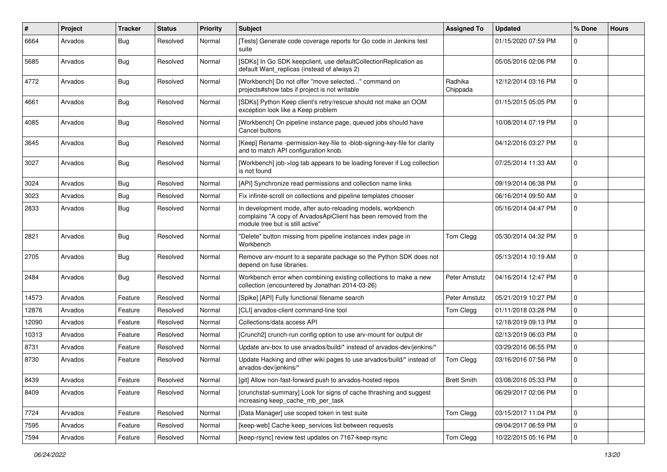| #     | Project | <b>Tracker</b> | <b>Status</b> | <b>Priority</b> | <b>Subject</b>                                                                                                                                                     | <b>Assigned To</b>  | <b>Updated</b>      | % Done              | <b>Hours</b> |
|-------|---------|----------------|---------------|-----------------|--------------------------------------------------------------------------------------------------------------------------------------------------------------------|---------------------|---------------------|---------------------|--------------|
| 6664  | Arvados | <b>Bug</b>     | Resolved      | Normal          | [Tests] Generate code coverage reports for Go code in Jenkins test<br>suite                                                                                        |                     | 01/15/2020 07:59 PM | 0                   |              |
| 5685  | Arvados | Bug            | Resolved      | Normal          | [SDKs] In Go SDK keepclient, use defaultCollectionReplication as<br>default Want replicas (instead of always 2)                                                    |                     | 05/05/2016 02:06 PM | $\mathbf{0}$        |              |
| 4772  | Arvados | <b>Bug</b>     | Resolved      | Normal          | [Workbench] Do not offer "move selected" command on<br>projects#show tabs if project is not writable                                                               | Radhika<br>Chippada | 12/12/2014 03:16 PM | $\mathbf 0$         |              |
| 4661  | Arvados | <b>Bug</b>     | Resolved      | Normal          | [SDKs] Python Keep client's retry/rescue should not make an OOM<br>exception look like a Keep problem                                                              |                     | 01/15/2015 05:05 PM | $\mathbf 0$         |              |
| 4085  | Arvados | <b>Bug</b>     | Resolved      | Normal          | [Workbench] On pipeline instance page, queued jobs should have<br>Cancel buttons                                                                                   |                     | 10/08/2014 07:19 PM | $\mathbf{0}$        |              |
| 3645  | Arvados | <b>Bug</b>     | Resolved      | Normal          | [Keep] Rename -permission-key-file to -blob-signing-key-file for clarity<br>and to match API configuration knob.                                                   |                     | 04/12/2016 03:27 PM | $\mathbf 0$         |              |
| 3027  | Arvados | <b>Bug</b>     | Resolved      | Normal          | [Workbench] job->log tab appears to be loading forever if Log collection<br>is not found                                                                           |                     | 07/25/2014 11:33 AM | $\mathbf{0}$        |              |
| 3024  | Arvados | <b>Bug</b>     | Resolved      | Normal          | [API] Synchronize read permissions and collection name links                                                                                                       |                     | 09/19/2014 06:38 PM | 0                   |              |
| 3023  | Arvados | Bug            | Resolved      | Normal          | Fix infinite-scroll on collections and pipeline templates chooser                                                                                                  |                     | 06/16/2014 09:50 AM | $\mathsf{O}\xspace$ |              |
| 2833  | Arvados | <b>Bug</b>     | Resolved      | Normal          | In development mode, after auto-reloading models, workbench<br>complains "A copy of ArvadosApiClient has been removed from the<br>module tree but is still active" |                     | 05/16/2014 04:47 PM | $\mathbf{0}$        |              |
| 2821  | Arvados | <b>Bug</b>     | Resolved      | Normal          | "Delete" button missing from pipeline instances index page in<br>Workbench                                                                                         | Tom Clegg           | 05/30/2014 04:32 PM | $\mathbf{0}$        |              |
| 2705  | Arvados | Bug            | Resolved      | Normal          | Remove arv-mount to a separate package so the Python SDK does not<br>depend on fuse libraries.                                                                     |                     | 05/13/2014 10:19 AM | $\mathbf 0$         |              |
| 2484  | Arvados | <b>Bug</b>     | Resolved      | Normal          | Workbench error when combining existing collections to make a new<br>collection (encountered by Jonathan 2014-03-26)                                               | Peter Amstutz       | 04/16/2014 12:47 PM | $\mathbf{0}$        |              |
| 14573 | Arvados | Feature        | Resolved      | Normal          | [Spike] [API] Fully functional filename search                                                                                                                     | Peter Amstutz       | 05/21/2019 10:27 PM | 0                   |              |
| 12876 | Arvados | Feature        | Resolved      | Normal          | [CLI] arvados-client command-line tool                                                                                                                             | Tom Clegg           | 01/11/2018 03:28 PM | 0                   |              |
| 12090 | Arvados | Feature        | Resolved      | Normal          | Collections/data access API                                                                                                                                        |                     | 12/18/2019 09:13 PM | 0                   |              |
| 10313 | Arvados | Feature        | Resolved      | Normal          | [Crunch2] crunch-run config option to use arv-mount for output dir                                                                                                 |                     | 02/13/2019 06:03 PM | $\mathsf{O}\xspace$ |              |
| 8731  | Arvados | Feature        | Resolved      | Normal          | Update arv-box to use arvados/build/* instead of arvados-dev/jenkins/*                                                                                             |                     | 03/29/2016 06:55 PM | $\mathbf 0$         |              |
| 8730  | Arvados | Feature        | Resolved      | Normal          | Update Hacking and other wiki pages to use arvados/build/* instead of<br>arvados-dev/jenkins/*                                                                     | Tom Clegg           | 03/16/2016 07:56 PM | $\mathbf{0}$        |              |
| 8439  | Arvados | Feature        | Resolved      | Normal          | [git] Allow non-fast-forward push to arvados-hosted repos                                                                                                          | <b>Brett Smith</b>  | 03/08/2016 05:33 PM | 0                   |              |
| 8409  | Arvados | Feature        | Resolved      | Normal          | [crunchstat-summary] Look for signs of cache thrashing and suggest<br>increasing keep_cache_mb_per_task                                                            |                     | 06/29/2017 02:06 PM | $\overline{0}$      |              |
| 7724  | Arvados | Feature        | Resolved      | Normal          | [Data Manager] use scoped token in test suite                                                                                                                      | Tom Clegg           | 03/15/2017 11:04 PM | $\mathbf 0$         |              |
| 7595  | Arvados | Feature        | Resolved      | Normal          | [keep-web] Cache keep_services list between requests                                                                                                               |                     | 09/04/2017 06:59 PM | $\mathbf 0$         |              |
| 7594  | Arvados | Feature        | Resolved      | Normal          | [keep-rsync] review test updates on 7167-keep-rsync                                                                                                                | Tom Clegg           | 10/22/2015 05:16 PM | $\overline{0}$      |              |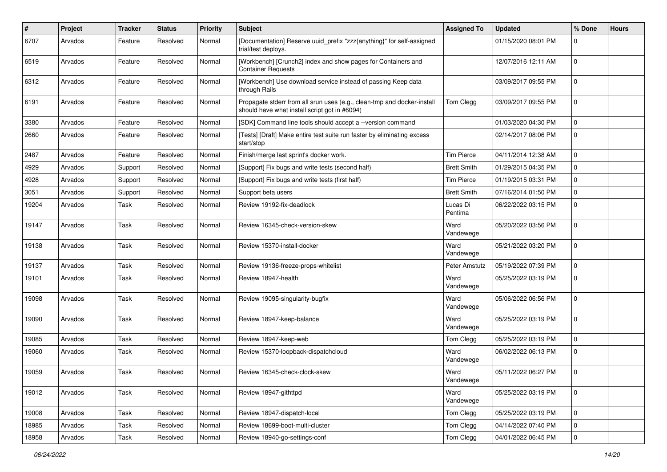| #     | Project | <b>Tracker</b> | <b>Status</b> | <b>Priority</b> | <b>Subject</b>                                                                                                           | <b>Assigned To</b>  | <b>Updated</b>      | % Done         | <b>Hours</b> |
|-------|---------|----------------|---------------|-----------------|--------------------------------------------------------------------------------------------------------------------------|---------------------|---------------------|----------------|--------------|
| 6707  | Arvados | Feature        | Resolved      | Normal          | [Documentation] Reserve uuid_prefix "zzz{anything}" for self-assigned<br>trial/test deploys.                             |                     | 01/15/2020 08:01 PM | 0              |              |
| 6519  | Arvados | Feature        | Resolved      | Normal          | [Workbench] [Crunch2] index and show pages for Containers and<br><b>Container Requests</b>                               |                     | 12/07/2016 12:11 AM | 0              |              |
| 6312  | Arvados | Feature        | Resolved      | Normal          | [Workbench] Use download service instead of passing Keep data<br>through Rails                                           |                     | 03/09/2017 09:55 PM | $\mathbf 0$    |              |
| 6191  | Arvados | Feature        | Resolved      | Normal          | Propagate stderr from all srun uses (e.g., clean-tmp and docker-install<br>should have what install script got in #6094) | Tom Clegg           | 03/09/2017 09:55 PM | 0              |              |
| 3380  | Arvados | Feature        | Resolved      | Normal          | [SDK] Command line tools should accept a --version command                                                               |                     | 01/03/2020 04:30 PM | 0              |              |
| 2660  | Arvados | Feature        | Resolved      | Normal          | [Tests] [Draft] Make entire test suite run faster by eliminating excess<br>start/stop                                    |                     | 02/14/2017 08:06 PM | $\pmb{0}$      |              |
| 2487  | Arvados | Feature        | Resolved      | Normal          | Finish/merge last sprint's docker work.                                                                                  | <b>Tim Pierce</b>   | 04/11/2014 12:38 AM | $\mathbf 0$    |              |
| 4929  | Arvados | Support        | Resolved      | Normal          | [Support] Fix bugs and write tests (second half)                                                                         | <b>Brett Smith</b>  | 01/29/2015 04:35 PM | 0              |              |
| 4928  | Arvados | Support        | Resolved      | Normal          | [Support] Fix bugs and write tests (first half)                                                                          | <b>Tim Pierce</b>   | 01/19/2015 03:31 PM | 0              |              |
| 3051  | Arvados | Support        | Resolved      | Normal          | Support beta users                                                                                                       | <b>Brett Smith</b>  | 07/16/2014 01:50 PM | 0              |              |
| 19204 | Arvados | Task           | Resolved      | Normal          | Review 19192-fix-deadlock                                                                                                | Lucas Di<br>Pentima | 06/22/2022 03:15 PM | $\mathbf 0$    |              |
| 19147 | Arvados | Task           | Resolved      | Normal          | Review 16345-check-version-skew                                                                                          | Ward<br>Vandewege   | 05/20/2022 03:56 PM | 0              |              |
| 19138 | Arvados | Task           | Resolved      | Normal          | Review 15370-install-docker                                                                                              | Ward<br>Vandewege   | 05/21/2022 03:20 PM | $\mathbf 0$    |              |
| 19137 | Arvados | Task           | Resolved      | Normal          | Review 19136-freeze-props-whitelist                                                                                      | Peter Amstutz       | 05/19/2022 07:39 PM | 0              |              |
| 19101 | Arvados | Task           | Resolved      | Normal          | Review 18947-health                                                                                                      | Ward<br>Vandewege   | 05/25/2022 03:19 PM | $\mathbf 0$    |              |
| 19098 | Arvados | Task           | Resolved      | Normal          | Review 19095-singularity-bugfix                                                                                          | Ward<br>Vandewege   | 05/06/2022 06:56 PM | $\mathbf{0}$   |              |
| 19090 | Arvados | Task           | Resolved      | Normal          | Review 18947-keep-balance                                                                                                | Ward<br>Vandewege   | 05/25/2022 03:19 PM | $\mathbf 0$    |              |
| 19085 | Arvados | Task           | Resolved      | Normal          | Review 18947-keep-web                                                                                                    | Tom Clegg           | 05/25/2022 03:19 PM | 0              |              |
| 19060 | Arvados | Task           | Resolved      | Normal          | Review 15370-loopback-dispatchcloud                                                                                      | Ward<br>Vandewege   | 06/02/2022 06:13 PM | 0              |              |
| 19059 | Arvados | Task           | Resolved      | Normal          | Review 16345-check-clock-skew                                                                                            | Ward<br>Vandewege   | 05/11/2022 06:27 PM | 0              |              |
| 19012 | Arvados | Task           | Resolved      | Normal          | Review 18947-githttpd                                                                                                    | Ward<br>Vandewege   | 05/25/2022 03:19 PM | $\overline{0}$ |              |
| 19008 | Arvados | Task           | Resolved      | Normal          | Review 18947-dispatch-local                                                                                              | Tom Clegg           | 05/25/2022 03:19 PM | $\mathbf{0}$   |              |
| 18985 | Arvados | Task           | Resolved      | Normal          | Review 18699-boot-multi-cluster                                                                                          | Tom Clegg           | 04/14/2022 07:40 PM | 0              |              |
| 18958 | Arvados | Task           | Resolved      | Normal          | Review 18940-go-settings-conf                                                                                            | Tom Clegg           | 04/01/2022 06:45 PM | $\overline{0}$ |              |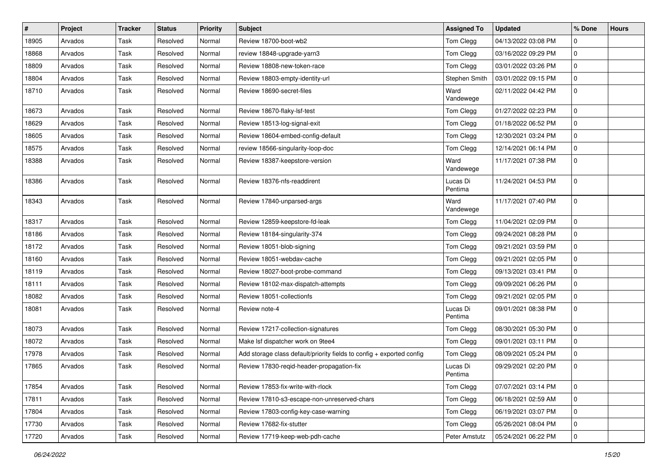| $\vert$ # | Project | <b>Tracker</b> | <b>Status</b> | <b>Priority</b> | Subject                                                               | <b>Assigned To</b>  | <b>Updated</b>      | % Done | <b>Hours</b> |
|-----------|---------|----------------|---------------|-----------------|-----------------------------------------------------------------------|---------------------|---------------------|--------|--------------|
| 18905     | Arvados | Task           | Resolved      | Normal          | Review 18700-boot-wb2                                                 | Tom Clegg           | 04/13/2022 03:08 PM | 0      |              |
| 18868     | Arvados | Task           | Resolved      | Normal          | review 18848-upgrade-yarn3                                            | Tom Clegg           | 03/16/2022 09:29 PM | 0      |              |
| 18809     | Arvados | Task           | Resolved      | Normal          | Review 18808-new-token-race                                           | Tom Clegg           | 03/01/2022 03:26 PM | 0      |              |
| 18804     | Arvados | Task           | Resolved      | Normal          | Review 18803-empty-identity-url                                       | Stephen Smith       | 03/01/2022 09:15 PM | 0      |              |
| 18710     | Arvados | Task           | Resolved      | Normal          | Review 18690-secret-files                                             | Ward<br>Vandewege   | 02/11/2022 04:42 PM | 0      |              |
| 18673     | Arvados | Task           | Resolved      | Normal          | Review 18670-flaky-lsf-test                                           | Tom Clegg           | 01/27/2022 02:23 PM | 0      |              |
| 18629     | Arvados | Task           | Resolved      | Normal          | Review 18513-log-signal-exit                                          | Tom Clegg           | 01/18/2022 06:52 PM | 0      |              |
| 18605     | Arvados | Task           | Resolved      | Normal          | Review 18604-embed-config-default                                     | Tom Clegg           | 12/30/2021 03:24 PM | 0      |              |
| 18575     | Arvados | Task           | Resolved      | Normal          | review 18566-singularity-loop-doc                                     | Tom Clegg           | 12/14/2021 06:14 PM | 0      |              |
| 18388     | Arvados | Task           | Resolved      | Normal          | Review 18387-keepstore-version                                        | Ward<br>Vandewege   | 11/17/2021 07:38 PM | 0      |              |
| 18386     | Arvados | Task           | Resolved      | Normal          | Review 18376-nfs-readdirent                                           | Lucas Di<br>Pentima | 11/24/2021 04:53 PM | 0      |              |
| 18343     | Arvados | Task           | Resolved      | Normal          | Review 17840-unparsed-args                                            | Ward<br>Vandewege   | 11/17/2021 07:40 PM | 0      |              |
| 18317     | Arvados | Task           | Resolved      | Normal          | Review 12859-keepstore-fd-leak                                        | Tom Clegg           | 11/04/2021 02:09 PM | 0      |              |
| 18186     | Arvados | Task           | Resolved      | Normal          | Review 18184-singularity-374                                          | Tom Clegg           | 09/24/2021 08:28 PM | 0      |              |
| 18172     | Arvados | Task           | Resolved      | Normal          | Review 18051-blob-signing                                             | Tom Clegg           | 09/21/2021 03:59 PM | 0      |              |
| 18160     | Arvados | Task           | Resolved      | Normal          | Review 18051-webdav-cache                                             | Tom Clegg           | 09/21/2021 02:05 PM | 0      |              |
| 18119     | Arvados | Task           | Resolved      | Normal          | Review 18027-boot-probe-command                                       | Tom Clegg           | 09/13/2021 03:41 PM | 0      |              |
| 18111     | Arvados | Task           | Resolved      | Normal          | Review 18102-max-dispatch-attempts                                    | Tom Clegg           | 09/09/2021 06:26 PM | 0      |              |
| 18082     | Arvados | Task           | Resolved      | Normal          | Review 18051-collectionfs                                             | Tom Clegg           | 09/21/2021 02:05 PM | 0      |              |
| 18081     | Arvados | Task           | Resolved      | Normal          | Review note-4                                                         | Lucas Di<br>Pentima | 09/01/2021 08:38 PM | 0      |              |
| 18073     | Arvados | Task           | Resolved      | Normal          | Review 17217-collection-signatures                                    | Tom Clegg           | 08/30/2021 05:30 PM | 0      |              |
| 18072     | Arvados | Task           | Resolved      | Normal          | Make Isf dispatcher work on 9tee4                                     | Tom Clegg           | 09/01/2021 03:11 PM | 0      |              |
| 17978     | Arvados | Task           | Resolved      | Normal          | Add storage class default/priority fields to config + exported config | Tom Clegg           | 08/09/2021 05:24 PM | 0      |              |
| 17865     | Arvados | Task           | Resolved      | Normal          | Review 17830-regid-header-propagation-fix                             | Lucas Di<br>Pentima | 09/29/2021 02:20 PM | 0      |              |
| 17854     | Arvados | Task           | Resolved      | Normal          | Review 17853-fix-write-with-rlock                                     | Tom Clegg           | 07/07/2021 03:14 PM | 0      |              |
| 17811     | Arvados | Task           | Resolved      | Normal          | Review 17810-s3-escape-non-unreserved-chars                           | Tom Clegg           | 06/18/2021 02:59 AM | 0      |              |
| 17804     | Arvados | Task           | Resolved      | Normal          | Review 17803-config-key-case-warning                                  | Tom Clegg           | 06/19/2021 03:07 PM | 0      |              |
| 17730     | Arvados | Task           | Resolved      | Normal          | Review 17682-fix-stutter                                              | Tom Clegg           | 05/26/2021 08:04 PM | 0      |              |
| 17720     | Arvados | Task           | Resolved      | Normal          | Review 17719-keep-web-pdh-cache                                       | Peter Amstutz       | 05/24/2021 06:22 PM | 0      |              |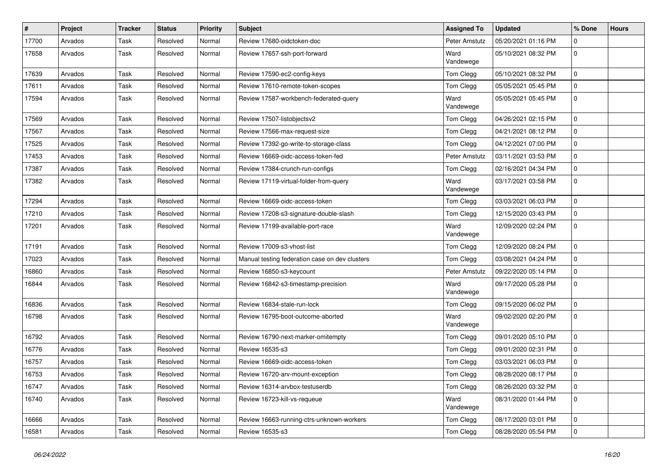| #     | Project | <b>Tracker</b> | <b>Status</b> | <b>Priority</b> | Subject                                        | <b>Assigned To</b> | <b>Updated</b>      | % Done      | <b>Hours</b> |
|-------|---------|----------------|---------------|-----------------|------------------------------------------------|--------------------|---------------------|-------------|--------------|
| 17700 | Arvados | Task           | Resolved      | Normal          | Review 17680-oidctoken-doc                     | Peter Amstutz      | 05/20/2021 01:16 PM | 0           |              |
| 17658 | Arvados | Task           | Resolved      | Normal          | Review 17657-ssh-port-forward                  | Ward<br>Vandewege  | 05/10/2021 08:32 PM | $\mathbf 0$ |              |
| 17639 | Arvados | Task           | Resolved      | Normal          | Review 17590-ec2-config-keys                   | Tom Clegg          | 05/10/2021 08:32 PM | $\mathbf 0$ |              |
| 17611 | Arvados | Task           | Resolved      | Normal          | Review 17610-remote-token-scopes               | Tom Clegg          | 05/05/2021 05:45 PM | $\mathbf 0$ |              |
| 17594 | Arvados | Task           | Resolved      | Normal          | Review 17587-workbench-federated-query         | Ward<br>Vandewege  | 05/05/2021 05:45 PM | $\mathbf 0$ |              |
| 17569 | Arvados | Task           | Resolved      | Normal          | Review 17507-listobjectsv2                     | Tom Clegg          | 04/26/2021 02:15 PM | $\mathbf 0$ |              |
| 17567 | Arvados | Task           | Resolved      | Normal          | Review 17566-max-request-size                  | Tom Clegg          | 04/21/2021 08:12 PM | $\mathbf 0$ |              |
| 17525 | Arvados | Task           | Resolved      | Normal          | Review 17392-go-write-to-storage-class         | Tom Clegg          | 04/12/2021 07:00 PM | $\mathbf 0$ |              |
| 17453 | Arvados | Task           | Resolved      | Normal          | Review 16669-oidc-access-token-fed             | Peter Amstutz      | 03/11/2021 03:53 PM | 0           |              |
| 17387 | Arvados | Task           | Resolved      | Normal          | Review 17384-crunch-run-configs                | Tom Clegg          | 02/16/2021 04:34 PM | $\mathbf 0$ |              |
| 17382 | Arvados | Task           | Resolved      | Normal          | Review 17119-virtual-folder-from-query         | Ward<br>Vandewege  | 03/17/2021 03:58 PM | $\mathbf 0$ |              |
| 17294 | Arvados | Task           | Resolved      | Normal          | Review 16669-oidc-access-token                 | Tom Clegg          | 03/03/2021 06:03 PM | 0           |              |
| 17210 | Arvados | Task           | Resolved      | Normal          | Review 17208-s3-signature-double-slash         | Tom Clegg          | 12/15/2020 03:43 PM | $\mathbf 0$ |              |
| 17201 | Arvados | Task           | Resolved      | Normal          | Review 17199-available-port-race               | Ward<br>Vandewege  | 12/09/2020 02:24 PM | $\mathbf 0$ |              |
| 17191 | Arvados | Task           | Resolved      | Normal          | Review 17009-s3-vhost-list                     | Tom Clegg          | 12/09/2020 08:24 PM | 0           |              |
| 17023 | Arvados | Task           | Resolved      | Normal          | Manual testing federation case on dev clusters | Tom Clegg          | 03/08/2021 04:24 PM | $\mathbf 0$ |              |
| 16860 | Arvados | Task           | Resolved      | Normal          | Review 16850-s3-keycount                       | Peter Amstutz      | 09/22/2020 05:14 PM | $\mathbf 0$ |              |
| 16844 | Arvados | Task           | Resolved      | Normal          | Review 16842-s3-timestamp-precision            | Ward<br>Vandewege  | 09/17/2020 05:28 PM | $\mathbf 0$ |              |
| 16836 | Arvados | Task           | Resolved      | Normal          | Review 16834-stale-run-lock                    | Tom Clegg          | 09/15/2020 06:02 PM | $\mathbf 0$ |              |
| 16798 | Arvados | Task           | Resolved      | Normal          | Review 16795-boot-outcome-aborted              | Ward<br>Vandewege  | 09/02/2020 02:20 PM | $\mathbf 0$ |              |
| 16792 | Arvados | Task           | Resolved      | Normal          | Review 16790-next-marker-omitempty             | Tom Clegg          | 09/01/2020 05:10 PM | 0           |              |
| 16776 | Arvados | Task           | Resolved      | Normal          | Review 16535-s3                                | Tom Clegg          | 09/01/2020 02:31 PM | $\mathbf 0$ |              |
| 16757 | Arvados | Task           | Resolved      | Normal          | Review 16669-oidc-access-token                 | Tom Clegg          | 03/03/2021 06:03 PM | $\mathbf 0$ |              |
| 16753 | Arvados | Task           | Resolved      | Normal          | Review 16720-arv-mount-exception               | Tom Clegg          | 08/28/2020 08:17 PM | $\mathbf 0$ |              |
| 16747 | Arvados | Task           | Resolved      | Normal          | Review 16314-arvbox-testuserdb                 | Tom Clegg          | 08/26/2020 03:32 PM | $\mathbf 0$ |              |
| 16740 | Arvados | Task           | Resolved      | Normal          | Review 16723-kill-vs-requeue                   | Ward<br>Vandewege  | 08/31/2020 01:44 PM | $\mathbf 0$ |              |
| 16666 | Arvados | Task           | Resolved      | Normal          | Review 16663-running-ctrs-unknown-workers      | Tom Clegg          | 08/17/2020 03:01 PM | $\mathbf 0$ |              |
| 16581 | Arvados | Task           | Resolved      | Normal          | Review 16535-s3                                | Tom Clegg          | 08/28/2020 05:54 PM | $\mathbf 0$ |              |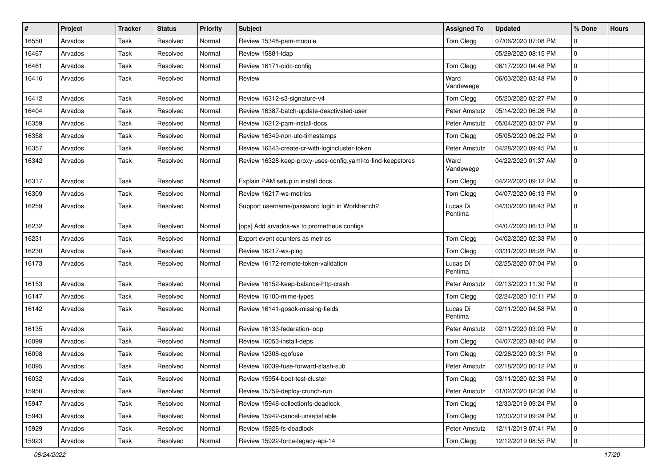| #     | Project | <b>Tracker</b> | <b>Status</b> | <b>Priority</b> | Subject                                                     | <b>Assigned To</b>  | <b>Updated</b>      | % Done      | <b>Hours</b> |
|-------|---------|----------------|---------------|-----------------|-------------------------------------------------------------|---------------------|---------------------|-------------|--------------|
| 16550 | Arvados | Task           | Resolved      | Normal          | Review 15348-pam-module                                     | Tom Clegg           | 07/06/2020 07:08 PM | 0           |              |
| 16467 | Arvados | Task           | Resolved      | Normal          | Review 15881-Idap                                           |                     | 05/29/2020 08:15 PM | $\mathbf 0$ |              |
| 16461 | Arvados | Task           | Resolved      | Normal          | Review 16171-oidc-config                                    | Tom Clegg           | 06/17/2020 04:48 PM | 0           |              |
| 16416 | Arvados | Task           | Resolved      | Normal          | Review                                                      | Ward<br>Vandewege   | 06/03/2020 03:48 PM | $\mathbf 0$ |              |
| 16412 | Arvados | Task           | Resolved      | Normal          | Review 16312-s3-signature-v4                                | Tom Clegg           | 05/20/2020 02:27 PM | 0           |              |
| 16404 | Arvados | Task           | Resolved      | Normal          | Review 16387-batch-update-deactivated-user                  | Peter Amstutz       | 05/14/2020 06:26 PM | $\mathbf 0$ |              |
| 16359 | Arvados | Task           | Resolved      | Normal          | Review 16212-pam-install-docs                               | Peter Amstutz       | 05/04/2020 03:07 PM | $\mathbf 0$ |              |
| 16358 | Arvados | Task           | Resolved      | Normal          | Review 16349-non-utc-timestamps                             | Tom Clegg           | 05/05/2020 06:22 PM | $\mathbf 0$ |              |
| 16357 | Arvados | Task           | Resolved      | Normal          | Review 16343-create-cr-with-logincluster-token              | Peter Amstutz       | 04/28/2020 09:45 PM | $\mathbf 0$ |              |
| 16342 | Arvados | Task           | Resolved      | Normal          | Review 16328-keep-proxy-uses-config.yaml-to-find-keepstores | Ward<br>Vandewege   | 04/22/2020 01:37 AM | $\mathbf 0$ |              |
| 16317 | Arvados | Task           | Resolved      | Normal          | Explain PAM setup in install docs                           | Tom Clegg           | 04/22/2020 09:12 PM | $\mathbf 0$ |              |
| 16309 | Arvados | Task           | Resolved      | Normal          | Review 16217-ws-metrics                                     | Tom Clegg           | 04/07/2020 06:13 PM | $\mathbf 0$ |              |
| 16259 | Arvados | Task           | Resolved      | Normal          | Support username/password login in Workbench2               | Lucas Di<br>Pentima | 04/30/2020 08:43 PM | $\mathbf 0$ |              |
| 16232 | Arvados | Task           | Resolved      | Normal          | [ops] Add arvados-ws to prometheus configs                  |                     | 04/07/2020 06:13 PM | $\mathbf 0$ |              |
| 16231 | Arvados | Task           | Resolved      | Normal          | Export event counters as metrics                            | Tom Clegg           | 04/02/2020 02:33 PM | $\mathbf 0$ |              |
| 16230 | Arvados | Task           | Resolved      | Normal          | Review 16217-ws-ping                                        | Tom Clegg           | 03/31/2020 08:28 PM | 0           |              |
| 16173 | Arvados | Task           | Resolved      | Normal          | Review 16172-remote-token-validation                        | Lucas Di<br>Pentima | 02/25/2020 07:04 PM | $\mathbf 0$ |              |
| 16153 | Arvados | Task           | Resolved      | Normal          | Review 16152-keep-balance-http-crash                        | Peter Amstutz       | 02/13/2020 11:30 PM | $\mathbf 0$ |              |
| 16147 | Arvados | Task           | Resolved      | Normal          | Review 16100-mime-types                                     | Tom Clegg           | 02/24/2020 10:11 PM | $\mathbf 0$ |              |
| 16142 | Arvados | Task           | Resolved      | Normal          | Review 16141-gosdk-missing-fields                           | Lucas Di<br>Pentima | 02/11/2020 04:58 PM | $\mathbf 0$ |              |
| 16135 | Arvados | Task           | Resolved      | Normal          | Review 16133-federation-loop                                | Peter Amstutz       | 02/11/2020 03:03 PM | $\mathbf 0$ |              |
| 16099 | Arvados | Task           | Resolved      | Normal          | Review 16053-install-deps                                   | Tom Clegg           | 04/07/2020 08:40 PM | 0           |              |
| 16098 | Arvados | Task           | Resolved      | Normal          | Review 12308-cgofuse                                        | Tom Clegg           | 02/26/2020 03:31 PM | $\mathbf 0$ |              |
| 16095 | Arvados | Task           | Resolved      | Normal          | Review 16039-fuse-forward-slash-sub                         | Peter Amstutz       | 02/18/2020 06:12 PM | $\mathbf 0$ |              |
| 16032 | Arvados | Task           | Resolved      | Normal          | Review 15954-boot-test-cluster                              | Tom Clegg           | 03/11/2020 02:33 PM | 0           |              |
| 15950 | Arvados | Task           | Resolved      | Normal          | Review 15759-deploy-crunch-run                              | Peter Amstutz       | 01/02/2020 02:36 PM | $\mathbf 0$ |              |
| 15947 | Arvados | Task           | Resolved      | Normal          | Review 15946-collectionfs-deadlock                          | Tom Clegg           | 12/30/2019 09:24 PM | $\mathbf 0$ |              |
| 15943 | Arvados | Task           | Resolved      | Normal          | Review 15942-cancel-unsatisfiable                           | Tom Clegg           | 12/30/2019 09:24 PM | $\mathbf 0$ |              |
| 15929 | Arvados | Task           | Resolved      | Normal          | Review 15928-fs-deadlock                                    | Peter Amstutz       | 12/11/2019 07:41 PM | $\mathbf 0$ |              |
| 15923 | Arvados | Task           | Resolved      | Normal          | Review 15922-force-legacy-api-14                            | Tom Clegg           | 12/12/2019 08:55 PM | $\mathbf 0$ |              |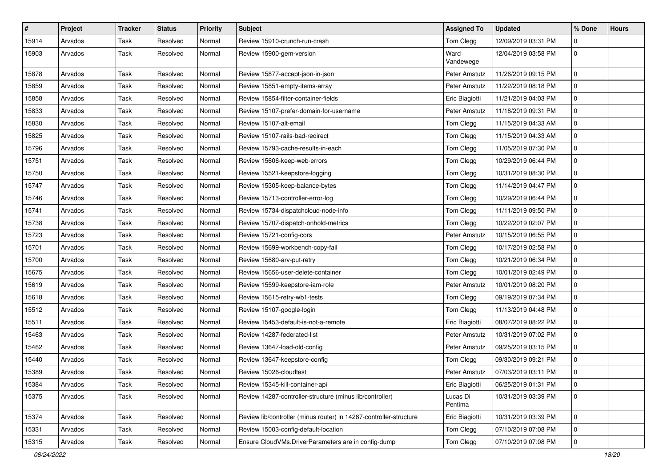| $\vert$ # | Project | <b>Tracker</b> | <b>Status</b> | <b>Priority</b> | Subject                                                            | <b>Assigned To</b>  | <b>Updated</b>      | % Done              | <b>Hours</b> |
|-----------|---------|----------------|---------------|-----------------|--------------------------------------------------------------------|---------------------|---------------------|---------------------|--------------|
| 15914     | Arvados | Task           | Resolved      | Normal          | Review 15910-crunch-run-crash                                      | Tom Clegg           | 12/09/2019 03:31 PM | 0                   |              |
| 15903     | Arvados | Task           | Resolved      | Normal          | Review 15900-gem-version                                           | Ward<br>Vandewege   | 12/04/2019 03:58 PM | $\mathsf{O}\xspace$ |              |
| 15878     | Arvados | Task           | Resolved      | Normal          | Review 15877-accept-json-in-json                                   | Peter Amstutz       | 11/26/2019 09:15 PM | 0                   |              |
| 15859     | Arvados | Task           | Resolved      | Normal          | Review 15851-empty-items-array                                     | Peter Amstutz       | 11/22/2019 08:18 PM | $\mathbf 0$         |              |
| 15858     | Arvados | Task           | Resolved      | Normal          | Review 15854-filter-container-fields                               | Eric Biagiotti      | 11/21/2019 04:03 PM | 0                   |              |
| 15833     | Arvados | Task           | Resolved      | Normal          | Review 15107-prefer-domain-for-username                            | Peter Amstutz       | 11/18/2019 09:31 PM | $\mathsf{O}\xspace$ |              |
| 15830     | Arvados | Task           | Resolved      | Normal          | Review 15107-alt-email                                             | Tom Clegg           | 11/15/2019 04:33 AM | $\mathbf 0$         |              |
| 15825     | Arvados | Task           | Resolved      | Normal          | Review 15107-rails-bad-redirect                                    | Tom Clegg           | 11/15/2019 04:33 AM | 0                   |              |
| 15796     | Arvados | Task           | Resolved      | Normal          | Review 15793-cache-results-in-each                                 | Tom Clegg           | 11/05/2019 07:30 PM | $\mathbf 0$         |              |
| 15751     | Arvados | Task           | Resolved      | Normal          | Review 15606-keep-web-errors                                       | Tom Clegg           | 10/29/2019 06:44 PM | 0                   |              |
| 15750     | Arvados | Task           | Resolved      | Normal          | Review 15521-keepstore-logging                                     | Tom Clegg           | 10/31/2019 08:30 PM | $\mathbf 0$         |              |
| 15747     | Arvados | Task           | Resolved      | Normal          | Review 15305-keep-balance-bytes                                    | Tom Clegg           | 11/14/2019 04:47 PM | $\mathbf 0$         |              |
| 15746     | Arvados | Task           | Resolved      | Normal          | Review 15713-controller-error-log                                  | Tom Clegg           | 10/29/2019 06:44 PM | 0                   |              |
| 15741     | Arvados | Task           | Resolved      | Normal          | Review 15734-dispatchcloud-node-info                               | Tom Clegg           | 11/11/2019 09:50 PM | 0                   |              |
| 15738     | Arvados | Task           | Resolved      | Normal          | Review 15707-dispatch-onhold-metrics                               | Tom Clegg           | 10/22/2019 02:07 PM | $\mathbf 0$         |              |
| 15723     | Arvados | Task           | Resolved      | Normal          | Review 15721-config-cors                                           | Peter Amstutz       | 10/15/2019 06:55 PM | $\mathbf 0$         |              |
| 15701     | Arvados | Task           | Resolved      | Normal          | Review 15699-workbench-copy-fail                                   | Tom Clegg           | 10/17/2019 02:58 PM | $\mathbf 0$         |              |
| 15700     | Arvados | Task           | Resolved      | Normal          | Review 15680-arv-put-retry                                         | Tom Clegg           | 10/21/2019 06:34 PM | 0                   |              |
| 15675     | Arvados | Task           | Resolved      | Normal          | Review 15656-user-delete-container                                 | Tom Clegg           | 10/01/2019 02:49 PM | 0                   |              |
| 15619     | Arvados | Task           | Resolved      | Normal          | Review 15599-keepstore-iam-role                                    | Peter Amstutz       | 10/01/2019 08:20 PM | $\mathbf 0$         |              |
| 15618     | Arvados | Task           | Resolved      | Normal          | Review 15615-retry-wb1-tests                                       | Tom Clegg           | 09/19/2019 07:34 PM | 0                   |              |
| 15512     | Arvados | Task           | Resolved      | Normal          | Review 15107-google-login                                          | Tom Clegg           | 11/13/2019 04:48 PM | $\mathbf 0$         |              |
| 15511     | Arvados | Task           | Resolved      | Normal          | Review 15453-default-is-not-a-remote                               | Eric Biagiotti      | 08/07/2019 08:22 PM | 0                   |              |
| 15463     | Arvados | Task           | Resolved      | Normal          | Review 14287-federated-list                                        | Peter Amstutz       | 10/31/2019 07:02 PM | $\mathsf{O}\xspace$ |              |
| 15462     | Arvados | Task           | Resolved      | Normal          | Review 13647-load-old-config                                       | Peter Amstutz       | 09/25/2019 03:15 PM | $\mathbf 0$         |              |
| 15440     | Arvados | Task           | Resolved      | Normal          | Review 13647-keepstore-config                                      | Tom Clegg           | 09/30/2019 09:21 PM | 0                   |              |
| 15389     | Arvados | Task           | Resolved      | Normal          | Review 15026-cloudtest                                             | Peter Amstutz       | 07/03/2019 03:11 PM | $\mathsf{O}\xspace$ |              |
| 15384     | Arvados | Task           | Resolved      | Normal          | Review 15345-kill-container-api                                    | Eric Biagiotti      | 06/25/2019 01:31 PM | 0                   |              |
| 15375     | Arvados | Task           | Resolved      | Normal          | Review 14287-controller-structure (minus lib/controller)           | Lucas Di<br>Pentima | 10/31/2019 03:39 PM | $\overline{0}$      |              |
| 15374     | Arvados | Task           | Resolved      | Normal          | Review lib/controller (minus router) in 14287-controller-structure | Eric Biagiotti      | 10/31/2019 03:39 PM | 0                   |              |
| 15331     | Arvados | Task           | Resolved      | Normal          | Review 15003-config-default-location                               | Tom Clegg           | 07/10/2019 07:08 PM | $\mathbf 0$         |              |
| 15315     | Arvados | Task           | Resolved      | Normal          | Ensure CloudVMs.DriverParameters are in config-dump                | Tom Clegg           | 07/10/2019 07:08 PM | 0                   |              |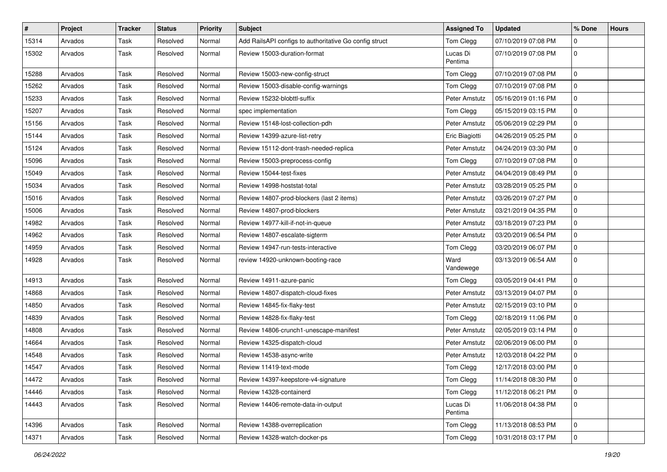| #     | Project | <b>Tracker</b> | <b>Status</b> | <b>Priority</b> | <b>Subject</b>                                         | <b>Assigned To</b>  | <b>Updated</b>      | % Done              | <b>Hours</b> |
|-------|---------|----------------|---------------|-----------------|--------------------------------------------------------|---------------------|---------------------|---------------------|--------------|
| 15314 | Arvados | Task           | Resolved      | Normal          | Add RailsAPI configs to authoritative Go config struct | Tom Clegg           | 07/10/2019 07:08 PM | 0                   |              |
| 15302 | Arvados | Task           | Resolved      | Normal          | Review 15003-duration-format                           | Lucas Di<br>Pentima | 07/10/2019 07:08 PM | $\pmb{0}$           |              |
| 15288 | Arvados | Task           | Resolved      | Normal          | Review 15003-new-config-struct                         | Tom Clegg           | 07/10/2019 07:08 PM | $\mathbf 0$         |              |
| 15262 | Arvados | Task           | Resolved      | Normal          | Review 15003-disable-config-warnings                   | Tom Clegg           | 07/10/2019 07:08 PM | 0                   |              |
| 15233 | Arvados | Task           | Resolved      | Normal          | Review 15232-blobttl-suffix                            | Peter Amstutz       | 05/16/2019 01:16 PM | 0                   |              |
| 15207 | Arvados | Task           | Resolved      | Normal          | spec implementation                                    | Tom Clegg           | 05/15/2019 03:15 PM | $\mathsf{O}\xspace$ |              |
| 15156 | Arvados | Task           | Resolved      | Normal          | Review 15148-lost-collection-pdh                       | Peter Amstutz       | 05/06/2019 02:29 PM | $\mathbf 0$         |              |
| 15144 | Arvados | Task           | Resolved      | Normal          | Review 14399-azure-list-retry                          | Eric Biagiotti      | 04/26/2019 05:25 PM | $\mathsf{O}\xspace$ |              |
| 15124 | Arvados | Task           | Resolved      | Normal          | Review 15112-dont-trash-needed-replica                 | Peter Amstutz       | 04/24/2019 03:30 PM | 0                   |              |
| 15096 | Arvados | Task           | Resolved      | Normal          | Review 15003-preprocess-config                         | Tom Clegg           | 07/10/2019 07:08 PM | 0                   |              |
| 15049 | Arvados | Task           | Resolved      | Normal          | Review 15044-test-fixes                                | Peter Amstutz       | 04/04/2019 08:49 PM | $\mathsf{O}\xspace$ |              |
| 15034 | Arvados | Task           | Resolved      | Normal          | Review 14998-hoststat-total                            | Peter Amstutz       | 03/28/2019 05:25 PM | $\mathbf 0$         |              |
| 15016 | Arvados | Task           | Resolved      | Normal          | Review 14807-prod-blockers (last 2 items)              | Peter Amstutz       | 03/26/2019 07:27 PM | $\mathbf{0}$        |              |
| 15006 | Arvados | Task           | Resolved      | Normal          | Review 14807-prod-blockers                             | Peter Amstutz       | 03/21/2019 04:35 PM | 0                   |              |
| 14982 | Arvados | Task           | Resolved      | Normal          | Review 14977-kill-if-not-in-queue                      | Peter Amstutz       | 03/18/2019 07:23 PM | 0                   |              |
| 14962 | Arvados | Task           | Resolved      | Normal          | Review 14807-escalate-sigterm                          | Peter Amstutz       | 03/20/2019 06:54 PM | $\mathbf 0$         |              |
| 14959 | Arvados | Task           | Resolved      | Normal          | Review 14947-run-tests-interactive                     | Tom Clegg           | 03/20/2019 06:07 PM | $\mathbf 0$         |              |
| 14928 | Arvados | Task           | Resolved      | Normal          | review 14920-unknown-booting-race                      | Ward<br>Vandewege   | 03/13/2019 06:54 AM | $\mathbf 0$         |              |
| 14913 | Arvados | Task           | Resolved      | Normal          | Review 14911-azure-panic                               | Tom Clegg           | 03/05/2019 04:41 PM | $\mathbf 0$         |              |
| 14868 | Arvados | Task           | Resolved      | Normal          | Review 14807-dispatch-cloud-fixes                      | Peter Amstutz       | 03/13/2019 04:07 PM | $\mathsf{O}\xspace$ |              |
| 14850 | Arvados | Task           | Resolved      | Normal          | Review 14845-fix-flaky-test                            | Peter Amstutz       | 02/15/2019 03:10 PM | 0                   |              |
| 14839 | Arvados | Task           | Resolved      | Normal          | Review 14828-fix-flaky-test                            | Tom Clegg           | 02/18/2019 11:06 PM | 0                   |              |
| 14808 | Arvados | Task           | Resolved      | Normal          | Review 14806-crunch1-unescape-manifest                 | Peter Amstutz       | 02/05/2019 03:14 PM | $\mathsf{O}\xspace$ |              |
| 14664 | Arvados | Task           | Resolved      | Normal          | Review 14325-dispatch-cloud                            | Peter Amstutz       | 02/06/2019 06:00 PM | $\mathbf 0$         |              |
| 14548 | Arvados | Task           | Resolved      | Normal          | Review 14538-async-write                               | Peter Amstutz       | 12/03/2018 04:22 PM | 0                   |              |
| 14547 | Arvados | Task           | Resolved      | Normal          | Review 11419-text-mode                                 | Tom Clegg           | 12/17/2018 03:00 PM | 0                   |              |
| 14472 | Arvados | Task           | Resolved      | Normal          | Review 14397-keepstore-v4-signature                    | Tom Clegg           | 11/14/2018 08:30 PM | 0                   |              |
| 14446 | Arvados | Task           | Resolved      | Normal          | Review 14328-containerd                                | Tom Clegg           | 11/12/2018 06:21 PM | $\overline{0}$      |              |
| 14443 | Arvados | Task           | Resolved      | Normal          | Review 14406-remote-data-in-output                     | Lucas Di<br>Pentima | 11/06/2018 04:38 PM | $\overline{0}$      |              |
| 14396 | Arvados | Task           | Resolved      | Normal          | Review 14388-overreplication                           | Tom Clegg           | 11/13/2018 08:53 PM | $\mathsf{O}\xspace$ |              |
| 14371 | Arvados | Task           | Resolved      | Normal          | Review 14328-watch-docker-ps                           | Tom Clegg           | 10/31/2018 03:17 PM | $\pmb{0}$           |              |